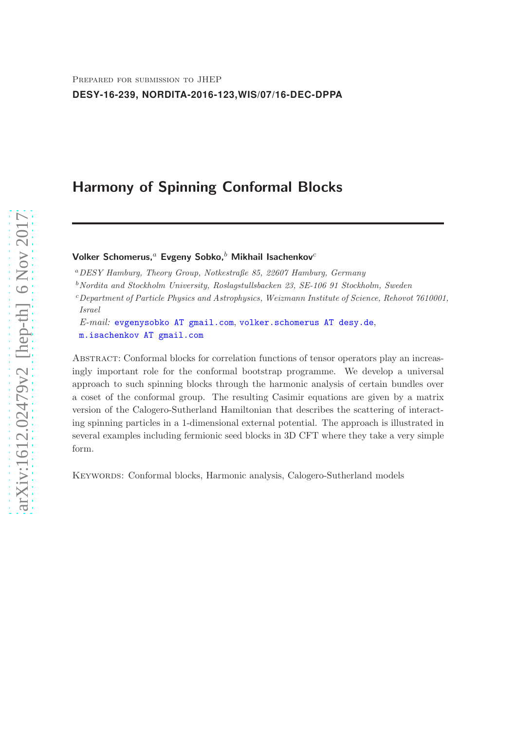**DESY-16-239, NORDITA-2016-123,WIS/07/16-DEC-DPPA**

# Harmony of Spinning Conformal Blocks

# Volker Schomerus,<sup>a</sup> Evgeny Sobko,<sup>b</sup> Mikhail Isachenkov<sup>c</sup>

<sup>a</sup>*DESY Hamburg, Theory Group, Notkestraße 85, 22607 Hamburg, Germany*

<sup>b</sup>*Nordita and Stockholm University, Roslagstullsbacken 23, SE-106 91 Stockholm, Sweden*

<sup>c</sup>*Department of Particle Physics and Astrophysics, Weizmann Institute of Science, Rehovot 7610001, Israel*

*E-mail:* [evgenysobko AT gmail.com](mailto:evgenysobko AT gmail.com), [volker.schomerus AT desy.de](mailto:volker.schomerus AT desy.de), [m.isachenkov AT gmail.com](mailto:m.isachenkov AT gmail.com)

Abstract: Conformal blocks for correlation functions of tensor operators play an increasingly important role for the conformal bootstrap programme. We develop a universal approach to such spinning blocks through the harmonic analysis of certain bundles over a coset of the conformal group. The resulting Casimir equations are given by a matrix version of the Calogero-Sutherland Hamiltonian that describes the scattering of interacting spinning particles in a 1-dimensional external potential. The approach is illustrated in several examples including fermionic seed blocks in 3D CFT where they take a very simple form.

KEYWORDS: Conformal blocks, Harmonic analysis, Calogero-Sutherland models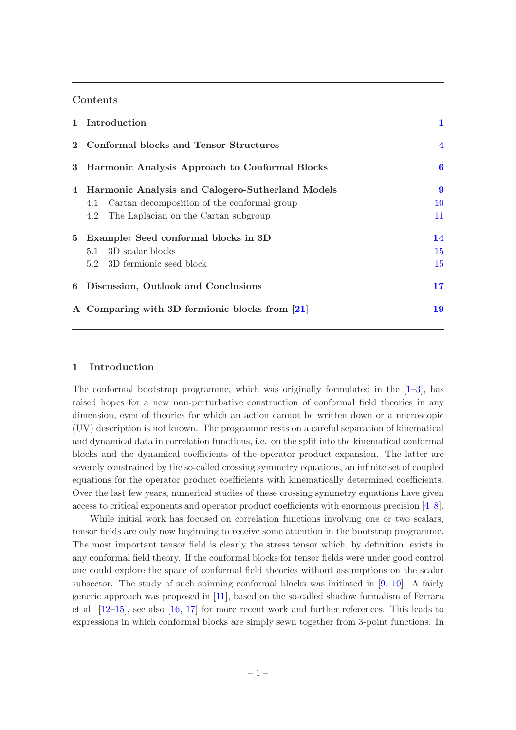# Contents

|                | 1 Introduction                                   | 1                       |
|----------------|--------------------------------------------------|-------------------------|
| $2^{\circ}$    | Conformal blocks and Tensor Structures           | $\overline{\mathbf{4}}$ |
| 3 <sup>1</sup> | Harmonic Analysis Approach to Conformal Blocks   | $\bf{6}$                |
| $\overline{4}$ | Harmonic Analysis and Calogero-Sutherland Models | 9                       |
|                | 4.1 Cartan decomposition of the conformal group  | 10                      |
|                | The Laplacian on the Cartan subgroup<br>4.2      | 11                      |
| $5^{\circ}$    | Example: Seed conformal blocks in 3D             | 14                      |
|                | 5.1 3D scalar blocks                             | 15                      |
|                | 5.2 3D fermionic seed block                      | 15                      |
| 6              | Discussion, Outlook and Conclusions              | 17                      |
|                | A Comparing with 3D fermionic blocks from [21]   | 19                      |

## <span id="page-1-0"></span>1 Introduction

The conformal bootstrap programme, which was originally formulated in the  $[1-3]$ , has raised hopes for a new non-perturbative construction of conformal field theories in any dimension, even of theories for which an action cannot be written down or a microscopic (UV) description is not known. The programme rests on a careful separation of kinematical and dynamical data in correlation functions, i.e. on the split into the kinematical conformal blocks and the dynamical coefficients of the operator product expansion. The latter are severely constrained by the so-called crossing symmetry equations, an infinite set of coupled equations for the operator product coefficients with kinematically determined coefficients. Over the last few years, numerical studies of these crossing symmetry equations have given access to critical exponents and operator product coefficients with enormous precision [\[4](#page-21-2)[–8\]](#page-21-3).

While initial work has focused on correlation functions involving one or two scalars, tensor fields are only now beginning to receive some attention in the bootstrap programme. The most important tensor field is clearly the stress tensor which, by definition, exists in any conformal field theory. If the conformal blocks for tensor fields were under good control one could explore the space of conformal field theories without assumptions on the scalar subsector. The study of such spinning conformal blocks was initiated in  $[9, 10]$  $[9, 10]$  $[9, 10]$ . A fairly generic approach was proposed in [\[11\]](#page-21-6), based on the so-called shadow formalism of Ferrara et al. [\[12](#page-21-7)[–15](#page-21-8)], see also [\[16](#page-21-9), [17](#page-22-1)] for more recent work and further references. This leads to expressions in which conformal blocks are simply sewn together from 3-point functions. In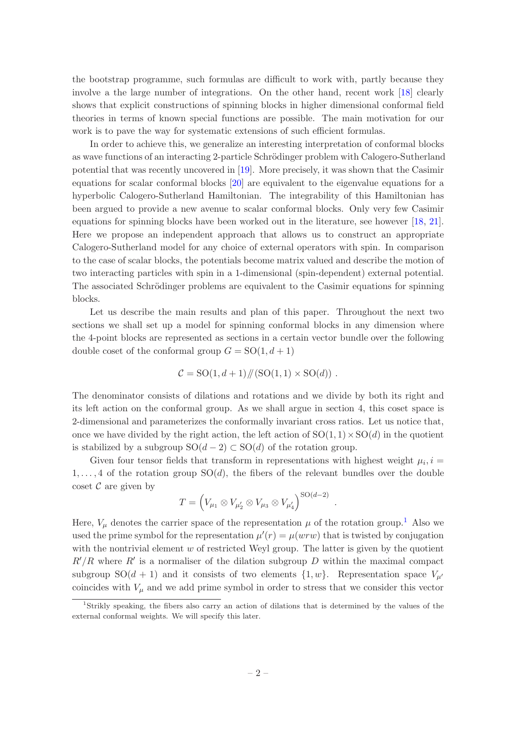the bootstrap programme, such formulas are difficult to work with, partly because they involve a the large number of integrations. On the other hand, recent work [\[18](#page-22-2)] clearly shows that explicit constructions of spinning blocks in higher dimensional conformal field theories in terms of known special functions are possible. The main motivation for our work is to pave the way for systematic extensions of such efficient formulas.

In order to achieve this, we generalize an interesting interpretation of conformal blocks as wave functions of an interacting 2-particle Schrödinger problem with Calogero-Sutherland potential that was recently uncovered in [\[19\]](#page-22-3). More precisely, it was shown that the Casimir equations for scalar conformal blocks [\[20](#page-22-4)] are equivalent to the eigenvalue equations for a hyperbolic Calogero-Sutherland Hamiltonian. The integrability of this Hamiltonian has been argued to provide a new avenue to scalar conformal blocks. Only very few Casimir equations for spinning blocks have been worked out in the literature, see however [\[18](#page-22-2), [21\]](#page-22-0). Here we propose an independent approach that allows us to construct an appropriate Calogero-Sutherland model for any choice of external operators with spin. In comparison to the case of scalar blocks, the potentials become matrix valued and describe the motion of two interacting particles with spin in a 1-dimensional (spin-dependent) external potential. The associated Schrödinger problems are equivalent to the Casimir equations for spinning blocks.

Let us describe the main results and plan of this paper. Throughout the next two sections we shall set up a model for spinning conformal blocks in any dimension where the 4-point blocks are represented as sections in a certain vector bundle over the following double coset of the conformal group  $G = SO(1, d + 1)$ 

$$
C = SO(1, d+1) / \langle SO(1,1) \times SO(d) \rangle .
$$

The denominator consists of dilations and rotations and we divide by both its right and its left action on the conformal group. As we shall argue in section 4, this coset space is 2-dimensional and parameterizes the conformally invariant cross ratios. Let us notice that, once we have divided by the right action, the left action of  $SO(1,1)\times SO(d)$  in the quotient is stabilized by a subgroup  $SO(d-2) \subset SO(d)$  of the rotation group.

Given four tensor fields that transform in representations with highest weight  $\mu_i$ ,  $i =$  $1, \ldots, 4$  of the rotation group  $SO(d)$ , the fibers of the relevant bundles over the double coset  $\mathcal C$  are given by

$$
T = \left(V_{\mu_1} \otimes V_{\mu'_2} \otimes V_{\mu_3} \otimes V_{\mu'_4}\right)^{\text{SO}(d-2)}
$$

.

Here,  $V_{\mu}$  denotes the carrier space of the representation  $\mu$  of the rotation group.<sup>[1](#page-2-0)</sup> Also we used the prime symbol for the representation  $\mu'(r) = \mu(wrw)$  that is twisted by conjugation with the nontrivial element  $w$  of restricted Weyl group. The latter is given by the quotient  $R'/R$  where  $R'$  is a normaliser of the dilation subgroup D within the maximal compact subgroup  $SO(d + 1)$  and it consists of two elements  $\{1, w\}$ . Representation space  $V_{\mu'}$ coincides with  $V_{\mu}$  and we add prime symbol in order to stress that we consider this vector

<span id="page-2-0"></span><sup>1</sup>Strikly speaking, the fibers also carry an action of dilations that is determined by the values of the external conformal weights. We will specify this later.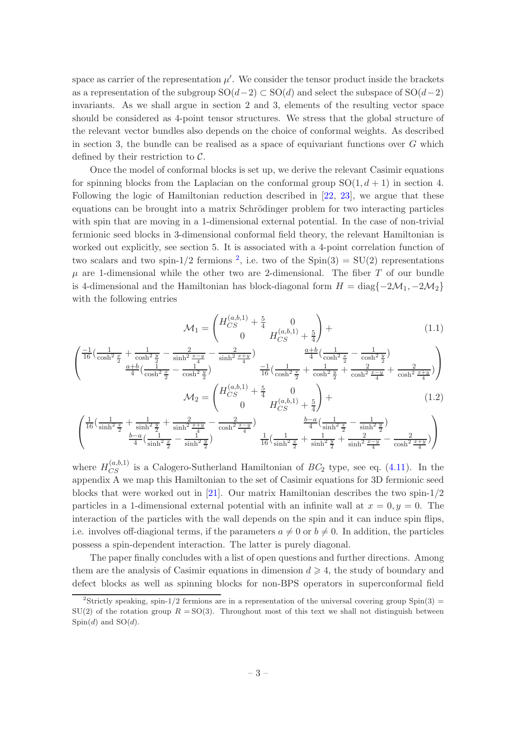space as carrier of the representation  $\mu'$ . We consider the tensor product inside the brackets as a representation of the subgroup  $SO(d-2) \subset SO(d)$  and select the subspace of  $SO(d-2)$ invariants. As we shall argue in section 2 and 3, elements of the resulting vector space should be considered as 4-point tensor structures. We stress that the global structure of the relevant vector bundles also depends on the choice of conformal weights. As described in section 3, the bundle can be realised as a space of equivariant functions over  $G$  which defined by their restriction to C.

Once the model of conformal blocks is set up, we derive the relevant Casimir equations for spinning blocks from the Laplacian on the conformal group  $SO(1, d + 1)$  in section 4. Following the logic of Hamiltonian reduction described in [\[22](#page-22-5), [23](#page-22-6)], we argue that these equations can be brought into a matrix Schrödinger problem for two interacting particles with spin that are moving in a 1-dimensional external potential. In the case of non-trivial fermionic seed blocks in 3-dimensional conformal field theory, the relevant Hamiltonian is worked out explicitly, see section 5. It is associated with a 4-point correlation function of two scalars and two spin-1/[2](#page-3-0) fermions<sup>2</sup>, i.e. two of the  $Spin(3) = SU(2)$  representations  $\mu$  are 1-dimensional while the other two are 2-dimensional. The fiber T of our bundle is 4-dimensional and the Hamiltonian has block-diagonal form  $H = \text{diag}\{-2\mathcal{M}_1, -2\mathcal{M}_2\}$ with the following entries

$$
\mathcal{M}_1 = \begin{pmatrix} H_{CS}^{(a,b,1)} + \frac{5}{4} & 0\\ 0 & H_{CS}^{(a,b,1)} + \frac{5}{4} \end{pmatrix} +
$$
(1.1)

$$
\begin{pmatrix}\n\frac{-1}{16} \left( \frac{1}{\cosh^2 \frac{x}{2}} + \frac{1}{\cosh^2 \frac{y}{2}} - \frac{2}{\sinh^2 \frac{x-y}{4}} - \frac{2}{\sinh^2 \frac{x+y}{4}} \right) & \frac{a+b}{4} \left( \frac{1}{\cosh^2 \frac{x}{2}} - \frac{1}{\cosh^2 \frac{y}{2}} \right) \\
\frac{a+b}{4} \left( \frac{1}{\cosh^2 \frac{x}{2}} - \frac{1}{\cosh^2 \frac{y}{2}} \right) & \frac{-1}{16} \left( \frac{1}{\cosh^2 \frac{x}{2}} + \frac{1}{\cosh^2 \frac{y}{2}} + \frac{2}{\cosh^2 \frac{x-y}{4}} + \frac{2}{\cosh^2 \frac{x+y}{4}} \right)\n\end{pmatrix}
$$
\n
$$
(H_{\alpha}^{(a,b,1)} + \frac{5}{2} = 0)
$$

$$
\mathcal{M}_2 = \begin{pmatrix} H_{CS}^{(a,b,1)} + \frac{5}{4} & 0\\ 0 & H_{CS}^{(a,b,1)} + \frac{5}{4} \end{pmatrix} +
$$
\n
$$
\frac{2}{2\pi I_{CS}^2} - \frac{2}{2\pi I_{CS}^2} \qquad (1.2)
$$

$$
\left(\begin{matrix}\frac{1}{16}(\frac{1}{\sinh^2 \frac{x}{2}}+\frac{1}{\sinh^2 \frac{y}{2}}+\frac{2}{\sinh^2 \frac{x+y}{4}}-\frac{2}{\cosh^2 \frac{x-y}{4}}) & \frac{b-a}{4}(\frac{1}{\sinh^2 \frac{x}{2}}-\frac{1}{\sinh^2 \frac{y}{2}}) \\ \frac{b-a}{4}(\frac{1}{\sinh^2 \frac{x}{2}}-\frac{1}{\sinh^2 \frac{y}{2}}) & \frac{1}{16}(\frac{1}{\sinh^2 \frac{x}{2}}+\frac{1}{\sinh^2 \frac{y}{2}}+\frac{2}{\sinh^2 \frac{x-y}{4}}-\frac{2}{\cosh^2 \frac{x+y}{4}}) \end{matrix}\right)
$$

where  $H_{CS}^{(a,b,1)}$  is a Calogero-Sutherland Hamiltonian of  $BC_2$  type, see eq. [\(4.11\)](#page-14-1). In the appendix A we map this Hamiltonian to the set of Casimir equations for 3D fermionic seed blocks that were worked out in [\[21](#page-22-0)]. Our matrix Hamiltonian describes the two spin-1/2 particles in a 1-dimensional external potential with an infinite wall at  $x = 0, y = 0$ . The interaction of the particles with the wall depends on the spin and it can induce spin flips, i.e. involves off-diagional terms, if the parameters  $a \neq 0$  or  $b \neq 0$ . In addition, the particles possess a spin-dependent interaction. The latter is purely diagonal.

The paper finally concludes with a list of open questions and further directions. Among them are the analysis of Casimir equations in dimension  $d \geq 4$ , the study of boundary and defect blocks as well as spinning blocks for non-BPS operators in superconformal field

<span id="page-3-0"></span><sup>&</sup>lt;sup>2</sup>Strictly speaking, spin-1/2 fermions are in a representation of the universal covering group  $Spin(3)$  $SU(2)$  of the rotation group  $R = SO(3)$ . Throughout most of this text we shall not distinguish between  $Spin(d)$  and  $SO(d)$ .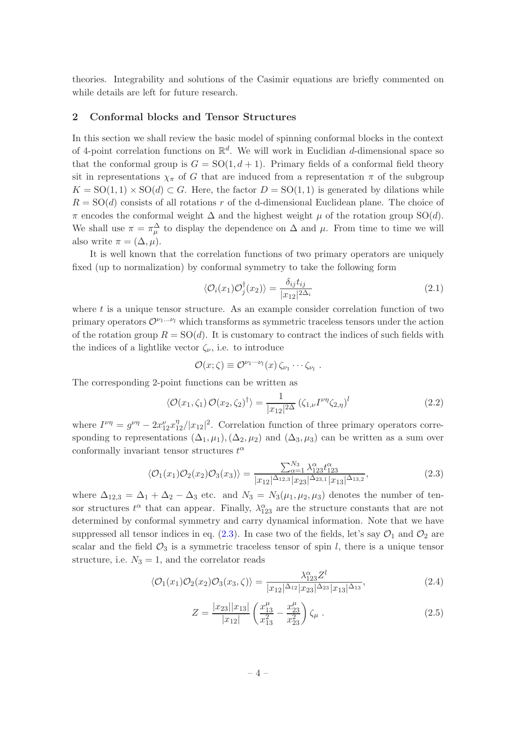theories. Integrability and solutions of the Casimir equations are briefly commented on while details are left for future research.

## <span id="page-4-0"></span>2 Conformal blocks and Tensor Structures

In this section we shall review the basic model of spinning conformal blocks in the context of 4-point correlation functions on  $\mathbb{R}^d$ . We will work in Euclidian d-dimensional space so that the conformal group is  $G = SO(1, d + 1)$ . Primary fields of a conformal field theory sit in representations  $\chi_{\pi}$  of G that are induced from a representation  $\pi$  of the subgroup  $K = SO(1, 1) \times SO(d) \subset G$ . Here, the factor  $D = SO(1, 1)$  is generated by dilations while  $R = SO(d)$  consists of all rotations r of the d-dimensional Euclidean plane. The choice of  $\pi$  encodes the conformal weight  $\Delta$  and the highest weight  $\mu$  of the rotation group SO(d). We shall use  $\pi = \pi^{\Delta}_{\mu}$  to display the dependence on  $\Delta$  and  $\mu$ . From time to time we will also write  $\pi = (\Delta, \mu)$ .

It is well known that the correlation functions of two primary operators are uniquely fixed (up to normalization) by conformal symmetry to take the following form

$$
\langle \mathcal{O}_i(x_1)\mathcal{O}_j^\dagger(x_2)\rangle = \frac{\delta_{ij}t_{ij}}{|x_{12}|^{2\Delta_i}}\tag{2.1}
$$

where  $t$  is a unique tensor structure. As an example consider correlation function of two primary operators  $\mathcal{O}^{\nu_1...\nu_l}$  which transforms as symmetric traceless tensors under the action of the rotation group  $R = SO(d)$ . It is customary to contract the indices of such fields with the indices of a lightlike vector  $\zeta_{\nu}$ , i.e. to introduce

<span id="page-4-1"></span>
$$
\mathcal{O}(x;\zeta) \equiv \mathcal{O}^{\nu_1 \cdots \nu_l}(x) \, \zeta_{\nu_1} \cdots \zeta_{\nu_l} \; .
$$

The corresponding 2-point functions can be written as

$$
\langle \mathcal{O}(x_1, \zeta_1) \mathcal{O}(x_2, \zeta_2)^\dagger \rangle = \frac{1}{|x_{12}|^{2\Delta}} (\zeta_{1,\nu} I^{\nu\eta} \zeta_{2,\eta})^l
$$
(2.2)

where  $I^{\nu\eta} = g^{\nu\eta} - 2x_{12}^{\nu}x_{12}^{\eta}/|x_{12}|^2$ . Correlation function of three primary operators corresponding to representations  $(\Delta_1, \mu_1), (\Delta_2, \mu_2)$  and  $(\Delta_3, \mu_3)$  can be written as a sum over conformally invariant tensor structures  $t^{\alpha}$ 

$$
\langle \mathcal{O}_1(x_1)\mathcal{O}_2(x_2)\mathcal{O}_3(x_3)\rangle = \frac{\sum_{\alpha=1}^{N_3} \lambda_{123}^{\alpha} t_{123}^{\alpha}}{|x_{12}|^{\Delta_{12,3}} |x_{23}|^{\Delta_{23,1}} |x_{13}|^{\Delta_{13,2}}},\tag{2.3}
$$

where  $\Delta_{12,3} = \Delta_1 + \Delta_2 - \Delta_3$  etc. and  $N_3 = N_3(\mu_1, \mu_2, \mu_3)$  denotes the number of tensor structures  $t^{\alpha}$  that can appear. Finally,  $\lambda_{123}^{\alpha}$  are the structure constants that are not determined by conformal symmetry and carry dynamical information. Note that we have suppressed all tensor indices in eq. [\(2.3\)](#page-4-1). In case two of the fields, let's say  $\mathcal{O}_1$  and  $\mathcal{O}_2$  are scalar and the field  $\mathcal{O}_3$  is a symmetric traceless tensor of spin l, there is a unique tensor structure, i.e.  $N_3 = 1$ , and the correlator reads

$$
\langle \mathcal{O}_1(x_1)\mathcal{O}_2(x_2)\mathcal{O}_3(x_3,\zeta)\rangle = \frac{\lambda_{123}^{\alpha} Z^l}{|x_{12}|^{\Delta_{12}} |x_{23}|^{\Delta_{23}} |x_{13}|^{\Delta_{13}}},\tag{2.4}
$$

$$
Z = \frac{|x_{23}||x_{13}|}{|x_{12}|} \left(\frac{x_{13}^{\mu}}{x_{13}^2} - \frac{x_{23}^{\mu}}{x_{23}^2}\right) \zeta_{\mu} . \tag{2.5}
$$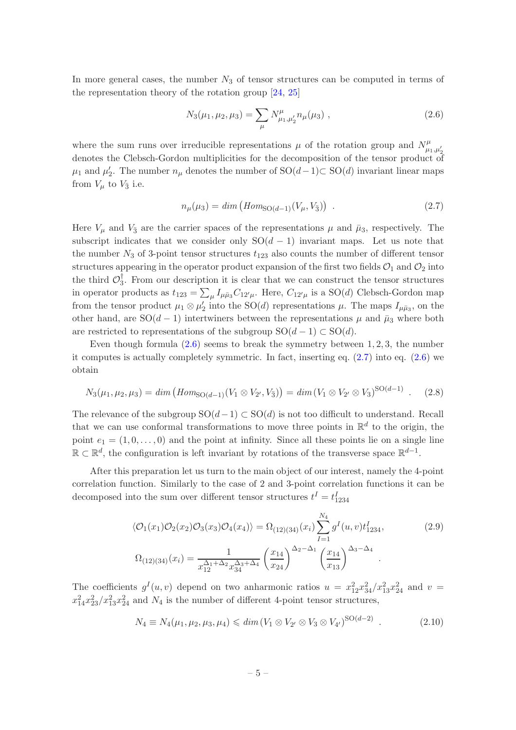In more general cases, the number  $N_3$  of tensor structures can be computed in terms of the representation theory of the rotation group [\[24,](#page-22-7) [25](#page-22-8)]

<span id="page-5-0"></span>
$$
N_3(\mu_1, \mu_2, \mu_3) = \sum_{\mu} N^{\mu}_{\mu_1, \mu'_2} n_{\mu}(\mu_3) , \qquad (2.6)
$$

where the sum runs over irreducible representations  $\mu$  of the rotation group and  $N^{\mu}_{\mu_1,\mu'_2}$ denotes the Clebsch-Gordon multiplicities for the decomposition of the tensor product of  $\mu_1$  and  $\mu'_2$ . The number  $n_\mu$  denotes the number of SO(d−1)⊂ SO(d) invariant linear maps from  $V_{\mu}$  to  $V_{\bar{3}}$  i.e.

<span id="page-5-1"></span>
$$
n_{\mu}(\mu_3) = \dim \left( \text{Hom}_{\text{SO}(d-1)}(V_{\mu}, V_{\bar{3}}) \right) \tag{2.7}
$$

Here  $V_{\mu}$  and  $V_{\bar{3}}$  are the carrier spaces of the representations  $\mu$  and  $\bar{\mu}_3$ , respectively. The subscript indicates that we consider only  $SO(d-1)$  invariant maps. Let us note that the number  $N_3$  of 3-point tensor structures  $t_{123}$  also counts the number of different tensor structures appearing in the operator product expansion of the first two fields  $\mathcal{O}_1$  and  $\mathcal{O}_2$  into the third  $\mathcal{O}_3^{\mathsf{T}}$ . From our description it is clear that we can construct the tensor structures in operator products as  $t_{123} = \sum_{\mu} I_{\mu\bar{\mu}_3} C_{12'\mu}$ . Here,  $C_{12'\mu}$  is a SO(*d*) Clebsch-Gordon map from the tensor product  $\mu_1 \otimes \mu'_2$  into the SO(d) representations  $\mu$ . The maps  $I_{\mu\bar{\mu}_3}$ , on the other hand, are  $SO(d-1)$  intertwiners between the representations  $\mu$  and  $\bar{\mu}_3$  where both are restricted to representations of the subgroup  $SO(d-1) \subset SO(d)$ .

Even though formula  $(2.6)$  seems to break the symmetry between 1, 2, 3, the number it computes is actually completely symmetric. In fact, inserting eq. [\(2.7\)](#page-5-1) into eq. [\(2.6\)](#page-5-0) we obtain

<span id="page-5-2"></span>
$$
N_3(\mu_1, \mu_2, \mu_3) = \dim \left( \text{Hom}_{\text{SO}(d-1)}(V_1 \otimes V_2, V_3) \right) = \dim (V_1 \otimes V_2 \otimes V_3)^{\text{SO}(d-1)} \quad . \tag{2.8}
$$

The relevance of the subgroup  $SO(d-1) \subset SO(d)$  is not too difficult to understand. Recall that we can use conformal transformations to move three points in  $\mathbb{R}^d$  to the origin, the point  $e_1 = (1, 0, \ldots, 0)$  and the point at infinity. Since all these points lie on a single line  $\mathbb{R} \subset \mathbb{R}^d$ , the configuration is left invariant by rotations of the transverse space  $\mathbb{R}^{d-1}$ .

After this preparation let us turn to the main object of our interest, namely the 4-point correlation function. Similarly to the case of 2 and 3-point correlation functions it can be decomposed into the sum over different tensor structures  $t^I = t_{1234}^I$ 

<span id="page-5-3"></span>
$$
\langle \mathcal{O}_1(x_1)\mathcal{O}_2(x_2)\mathcal{O}_3(x_3)\mathcal{O}_4(x_4)\rangle = \Omega_{(12)(34)}(x_i) \sum_{I=1}^{N_4} g^I(u,v) t_{1234}^I,
$$
\n
$$
\Omega_{(12)(34)}(x_i) = \frac{1}{x_{12}^{\Delta_1 + \Delta_2} x_{34}^{\Delta_3 + \Delta_4}} \left(\frac{x_{14}}{x_{24}}\right)^{\Delta_2 - \Delta_1} \left(\frac{x_{14}}{x_{13}}\right)^{\Delta_3 - \Delta_4}.
$$
\n(2.9)

The coefficients  $g^I(u, v)$  depend on two anharmonic ratios  $u = x_{12}^2 x_{34}^2 / x_{13}^2 x_{24}^2$  and  $v =$  $x_{14}^2 x_{23}^2 / x_{13}^2 x_{24}^2$  and  $N_4$  is the number of different 4-point tensor structures,

$$
N_4 \equiv N_4(\mu_1, \mu_2, \mu_3, \mu_4) \leq \dim (V_1 \otimes V_{2'} \otimes V_3 \otimes V_{4'})^{\text{SO}(d-2)} \quad . \tag{2.10}
$$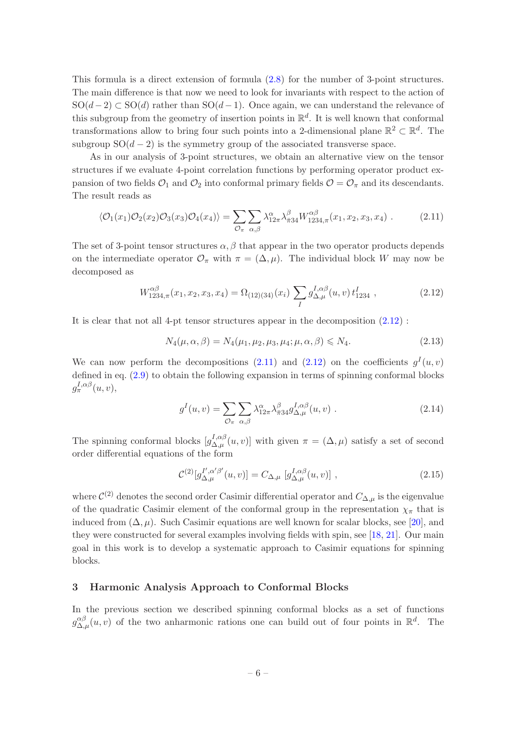This formula is a direct extension of formula [\(2.8\)](#page-5-2) for the number of 3-point structures. The main difference is that now we need to look for invariants with respect to the action of  $SO(d-2) \subset SO(d)$  rather than  $SO(d-1)$ . Once again, we can understand the relevance of this subgroup from the geometry of insertion points in  $\mathbb{R}^d$ . It is well known that conformal transformations allow to bring four such points into a 2-dimensional plane  $\mathbb{R}^2 \subset \mathbb{R}^d$ . The subgroup  $SO(d-2)$  is the symmetry group of the associated transverse space.

As in our analysis of 3-point structures, we obtain an alternative view on the tensor structures if we evaluate 4-point correlation functions by performing operator product expansion of two fields  $\mathcal{O}_1$  and  $\mathcal{O}_2$  into conformal primary fields  $\mathcal{O} = \mathcal{O}_\pi$  and its descendants. The result reads as

$$
\langle \mathcal{O}_1(x_1)\mathcal{O}_2(x_2)\mathcal{O}_3(x_3)\mathcal{O}_4(x_4)\rangle = \sum_{\mathcal{O}_\pi} \sum_{\alpha,\beta} \lambda_{12\pi}^\alpha \lambda_{\pi 34}^\beta W_{1234,\pi}^{\alpha\beta}(x_1, x_2, x_3, x_4) \,. \tag{2.11}
$$

The set of 3-point tensor structures  $\alpha, \beta$  that appear in the two operator products depends on the intermediate operator  $\mathcal{O}_{\pi}$  with  $\pi = (\Delta, \mu)$ . The individual block W may now be decomposed as

$$
W_{1234,\pi}^{\alpha\beta}(x_1, x_2, x_3, x_4) = \Omega_{(12)(34)}(x_i) \sum_{I} g_{\Delta,\mu}^{I,\alpha\beta}(u, v) t_{1234}^{I}, \qquad (2.12)
$$

It is clear that not all 4-pt tensor structures appear in the decomposition  $(2.12)$ :

<span id="page-6-2"></span><span id="page-6-1"></span>
$$
N_4(\mu, \alpha, \beta) = N_4(\mu_1, \mu_2, \mu_3, \mu_4; \mu, \alpha, \beta) \le N_4.
$$
 (2.13)

We can now perform the decompositions  $(2.11)$  and  $(2.12)$  on the coefficients  $g<sup>I</sup>(u, v)$ defined in eq. [\(2.9\)](#page-5-3) to obtain the following expansion in terms of spinning conformal blocks  $g_{\pi}^{I,\alpha\beta}(u,v),$ 

<span id="page-6-3"></span>
$$
g^{I}(u,v) = \sum_{\mathcal{O}_{\pi}} \sum_{\alpha,\beta} \lambda_{12\pi}^{\alpha} \lambda_{\bar{\pi}34}^{\beta} g^{I,\alpha\beta}_{\Delta,\mu}(u,v) . \qquad (2.14)
$$

The spinning conformal blocks  $[g_{\Delta,\mu}^{I,\alpha\beta}(u,v)]$  with given  $\pi = (\Delta,\mu)$  satisfy a set of second order differential equations of the form

$$
\mathcal{C}^{(2)}[g_{\Delta,\mu}^{I',\alpha'\beta'}(u,v)] = C_{\Delta,\mu} [g_{\Delta,\mu}^{I,\alpha\beta}(u,v)] ,
$$
 (2.15)

where  $\mathcal{C}^{(2)}$  denotes the second order Casimir differential operator and  $C_{\Delta,\mu}$  is the eigenvalue of the quadratic Casimir element of the conformal group in the representation  $\chi_{\pi}$  that is induced from  $(\Delta, \mu)$ . Such Casimir equations are well known for scalar blocks, see [\[20](#page-22-4)], and they were constructed for several examples involving fields with spin, see [\[18](#page-22-2), [21](#page-22-0)]. Our main goal in this work is to develop a systematic approach to Casimir equations for spinning blocks.

# <span id="page-6-0"></span>3 Harmonic Analysis Approach to Conformal Blocks

In the previous section we described spinning conformal blocks as a set of functions  $g_{\Delta,\mu}^{\alpha\beta}(u,v)$  of the two anharmonic rations one can build out of four points in  $\mathbb{R}^d$ . The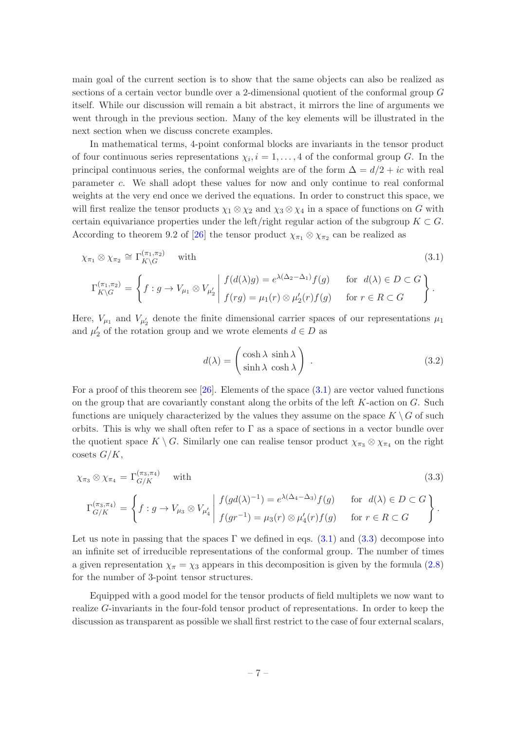main goal of the current section is to show that the same objects can also be realized as sections of a certain vector bundle over a 2-dimensional quotient of the conformal group G itself. While our discussion will remain a bit abstract, it mirrors the line of arguments we went through in the previous section. Many of the key elements will be illustrated in the next section when we discuss concrete examples.

In mathematical terms, 4-point conformal blocks are invariants in the tensor product of four continuous series representations  $\chi_i, i = 1, \ldots, 4$  of the conformal group G. In the principal continuous series, the conformal weights are of the form  $\Delta = d/2 + ic$  with real parameter c. We shall adopt these values for now and only continue to real conformal weights at the very end once we derived the equations. In order to construct this space, we will first realize the tensor products  $\chi_1 \otimes \chi_2$  and  $\chi_3 \otimes \chi_4$  in a space of functions on G with certain equivariance properties under the left/right regular action of the subgroup  $K \subset G$ . According to theorem 9.2 of [\[26\]](#page-22-9) the tensor product  $\chi_{\pi_1} \otimes \chi_{\pi_2}$  can be realized as

<span id="page-7-0"></span>
$$
\chi_{\pi_1} \otimes \chi_{\pi_2} \cong \Gamma_{K \backslash G}^{(\pi_1, \pi_2)} \quad \text{with}
$$
\n
$$
\Gamma_{K \backslash G}^{(\pi_1, \pi_2)} = \left\{ f : g \to V_{\mu_1} \otimes V_{\mu_2'} \middle| \begin{array}{l} f(d(\lambda)g) = e^{\lambda(\Delta_2 - \Delta_1)} f(g) & \text{for } d(\lambda) \in D \subset G \\ f(rg) = \mu_1(r) \otimes \mu_2'(r) f(g) & \text{for } r \in R \subset G \end{array} \right\}.
$$
\n
$$
(3.1)
$$

Here,  $V_{\mu_1}$  and  $V_{\mu'_2}$  denote the finite dimensional carrier spaces of our representations  $\mu_1$ and  $\mu'_2$  of the rotation group and we wrote elements  $d \in D$  as

$$
d(\lambda) = \begin{pmatrix} \cosh \lambda & \sinh \lambda \\ \sinh \lambda & \cosh \lambda \end{pmatrix} . \tag{3.2}
$$

For a proof of this theorem see [\[26\]](#page-22-9). Elements of the space [\(3.1\)](#page-7-0) are vector valued functions on the group that are covariantly constant along the orbits of the left K-action on G. Such functions are uniquely characterized by the values they assume on the space  $K \setminus G$  of such orbits. This is why we shall often refer to  $\Gamma$  as a space of sections in a vector bundle over the quotient space  $K \setminus G$ . Similarly one can realise tensor product  $\chi_{\pi_3} \otimes \chi_{\pi_4}$  on the right cosets  $G/K$ ,

<span id="page-7-1"></span>
$$
\chi_{\pi_3} \otimes \chi_{\pi_4} = \Gamma_{G/K}^{(\pi_3, \pi_4)} \quad \text{with} \tag{3.3}
$$

$$
\Gamma_{G/K}^{(\pi_3,\pi_4)} = \left\{ f : g \to V_{\mu_3} \otimes V_{\mu'_4} \middle| \begin{array}{l} f(gd(\lambda)^{-1}) = e^{\lambda(\Delta_4 - \Delta_3)} f(g) & \text{for } d(\lambda) \in D \subset G \\ f(gr^{-1}) = \mu_3(r) \otimes \mu'_4(r) f(g) & \text{for } r \in R \subset G \end{array} \right\}.
$$

Let us note in passing that the spaces  $\Gamma$  we defined in eqs. [\(3.1\)](#page-7-0) and [\(3.3\)](#page-7-1) decompose into an infinite set of irreducible representations of the conformal group. The number of times a given representation  $\chi_{\pi} = \chi_3$  appears in this decomposition is given by the formula [\(2.8\)](#page-5-2) for the number of 3-point tensor structures.

Equipped with a good model for the tensor products of field multiplets we now want to realize G-invariants in the four-fold tensor product of representations. In order to keep the discussion as transparent as possible we shall first restrict to the case of four external scalars,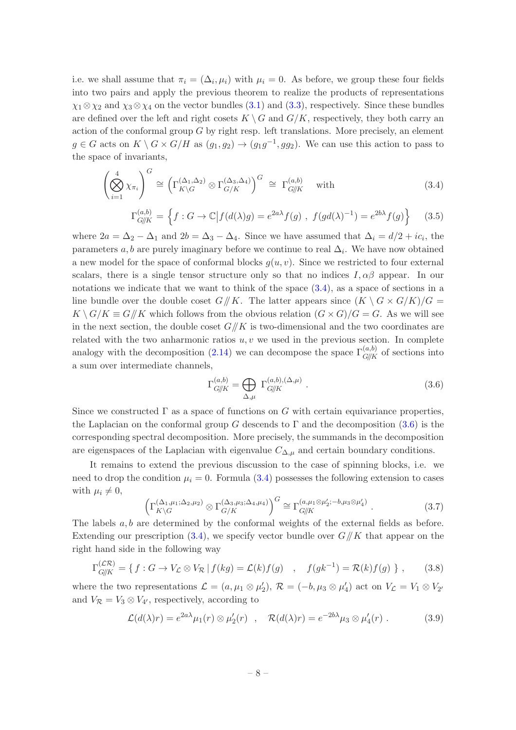i.e. we shall assume that  $\pi_i = (\Delta_i, \mu_i)$  with  $\mu_i = 0$ . As before, we group these four fields into two pairs and apply the previous theorem to realize the products of representations  $\chi_1 \otimes \chi_2$  and  $\chi_3 \otimes \chi_4$  on the vector bundles [\(3.1\)](#page-7-0) and [\(3.3\)](#page-7-1), respectively. Since these bundles are defined over the left and right cosets  $K \setminus G$  and  $G/K$ , respectively, they both carry an action of the conformal group G by right resp. left translations. More precisely, an element  $g \in G$  acts on  $K \setminus G \times G/H$  as  $(g_1, g_2) \to (g_1g^{-1}, gg_2)$ . We can use this action to pass to the space of invariants,

<span id="page-8-0"></span>
$$
\left(\bigotimes_{i=1}^{4} \chi_{\pi_{i}}\right)^{G} \cong \left(\Gamma_{K\backslash G}^{(\Delta_{1}, \Delta_{2})} \otimes \Gamma_{G/K}^{(\Delta_{3}, \Delta_{4})}\right)^{G} \cong \Gamma_{G/\!\!/ K}^{(a, b)} \quad \text{with}
$$
\n
$$
\Gamma_{G/\!\!/ K}^{(a, b)} = \left\{f : G \to \mathbb{C} \middle| f(d(\lambda)g) = e^{2a\lambda} f(g) \right\}, \ f(gd(\lambda)^{-1}) = e^{2b\lambda} f(g) \right\} \quad (3.5)
$$

where  $2a = \Delta_2 - \Delta_1$  and  $2b = \Delta_3 - \Delta_4$ . Since we have assumed that  $\Delta_i = d/2 + ic_i$ , the parameters  $a, b$  are purely imaginary before we continue to real  $\Delta_i$ . We have now obtained a new model for the space of conformal blocks  $q(u, v)$ . Since we restricted to four external scalars, there is a single tensor structure only so that no indices  $I, \alpha\beta$  appear. In our notations we indicate that we want to think of the space  $(3.4)$ , as a space of sections in a line bundle over the double coset  $G/\!\!/K$ . The latter appears since  $(K \setminus G \times G/K)/G =$  $K \setminus G/K \equiv G/\!/ K$  which follows from the obvious relation  $(G \times G)/G = G$ . As we will see in the next section, the double coset  $G/K$  is two-dimensional and the two coordinates are related with the two anharmonic ratios  $u, v$  we used in the previous section. In complete analogy with the decomposition [\(2.14\)](#page-6-3) we can decompose the space  $\Gamma_{G/K}^{(a,b)}$  of sections into a sum over intermediate channels,

<span id="page-8-1"></span>
$$
\Gamma_{G/\!\!/K}^{(a,b)} = \bigoplus_{\Delta,\mu} \Gamma_{G/\!\!/K}^{(a,b),(\Delta,\mu)} . \tag{3.6}
$$

Since we constructed  $\Gamma$  as a space of functions on G with certain equivariance properties, the Laplacian on the conformal group G descends to  $\Gamma$  and the decomposition [\(3.6\)](#page-8-1) is the corresponding spectral decomposition. More precisely, the summands in the decomposition are eigenspaces of the Laplacian with eigenvalue  $C_{\Delta,\mu}$  and certain boundary conditions.

It remains to extend the previous discussion to the case of spinning blocks, i.e. we need to drop the condition  $\mu_i = 0$ . Formula [\(3.4\)](#page-8-0) possesses the following extension to cases with  $\mu_i \neq 0$ ,

<span id="page-8-3"></span>
$$
\left(\Gamma_{K\backslash G}^{(\Delta_1,\mu_1;\Delta_2,\mu_2)}\otimes\Gamma_{G/K}^{(\Delta_3,\mu_3;\Delta_4,\mu_4)}\right)^G \cong \Gamma_{G/K}^{(a,\mu_1\otimes\mu_2';-b,\mu_3\otimes\mu_4')}.
$$
\n(3.7)

The labels  $a, b$  are determined by the conformal weights of the external fields as before. Extending our prescription  $(3.4)$ , we specify vector bundle over  $G/\!\!/K$  that appear on the right hand side in the following way

<span id="page-8-2"></span>
$$
\Gamma_{G//K}^{(\mathcal{LR})} = \{ f : G \to V_{\mathcal{L}} \otimes V_{\mathcal{R}} \mid f(kg) = \mathcal{L}(k)f(g) \quad , \quad f(gk^{-1}) = \mathcal{R}(k)f(g) \}, \tag{3.8}
$$

where the two representations  $\mathcal{L} = (a, \mu_1 \otimes \mu_2'), \mathcal{R} = (-b, \mu_3 \otimes \mu_4')$  act on  $V_{\mathcal{L}} = V_1 \otimes V_{2'}$ and  $V_{\mathcal{R}} = V_3 \otimes V_{4'}$ , respectively, according to

$$
\mathcal{L}(d(\lambda)r) = e^{2a\lambda}\mu_1(r) \otimes \mu_2'(r) \quad , \quad \mathcal{R}(d(\lambda)r) = e^{-2b\lambda}\mu_3 \otimes \mu_4'(r) \quad . \tag{3.9}
$$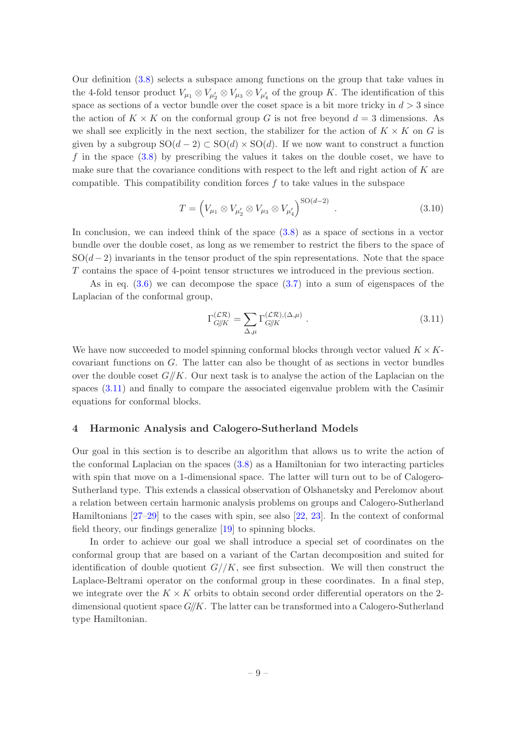Our definition [\(3.8\)](#page-8-2) selects a subspace among functions on the group that take values in the 4-fold tensor product  $V_{\mu_1} \otimes V_{\mu'_2} \otimes V_{\mu_3} \otimes V_{\mu'_4}$  of the group K. The identification of this space as sections of a vector bundle over the coset space is a bit more tricky in  $d > 3$  since the action of  $K \times K$  on the conformal group G is not free beyond  $d = 3$  dimensions. As we shall see explicitly in the next section, the stabilizer for the action of  $K \times K$  on G is given by a subgroup  $SO(d-2) \subset SO(d) \times SO(d)$ . If we now want to construct a function f in the space [\(3.8\)](#page-8-2) by prescribing the values it takes on the double coset, we have to make sure that the covariance conditions with respect to the left and right action of  $K$  are compatible. This compatibility condition forces  $f$  to take values in the subspace

$$
T = \left(V_{\mu_1} \otimes V_{\mu'_2} \otimes V_{\mu_3} \otimes V_{\mu'_4}\right)^{\text{SO}(d-2)}.
$$
\n(3.10)

In conclusion, we can indeed think of the space [\(3.8\)](#page-8-2) as a space of sections in a vector bundle over the double coset, as long as we remember to restrict the fibers to the space of  $SO(d-2)$  invariants in the tensor product of the spin representations. Note that the space T contains the space of 4-point tensor structures we introduced in the previous section.

As in eq. [\(3.6\)](#page-8-1) we can decompose the space [\(3.7\)](#page-8-3) into a sum of eigenspaces of the Laplacian of the conformal group,

<span id="page-9-1"></span>
$$
\Gamma_{G/\!\!/K}^{(\mathcal{LR})} = \sum_{\Delta,\mu} \Gamma_{G/\!\!/K}^{(\mathcal{LR}),(\Delta,\mu)} \,. \tag{3.11}
$$

We have now succeeded to model spinning conformal blocks through vector valued  $K \times K$ covariant functions on G. The latter can also be thought of as sections in vector bundles over the double coset  $G/\!\!/K$ . Our next task is to analyse the action of the Laplacian on the spaces [\(3.11\)](#page-9-1) and finally to compare the associated eigenvalue problem with the Casimir equations for conformal blocks.

## <span id="page-9-0"></span>4 Harmonic Analysis and Calogero-Sutherland Models

Our goal in this section is to describe an algorithm that allows us to write the action of the conformal Laplacian on the spaces [\(3.8\)](#page-8-2) as a Hamiltonian for two interacting particles with spin that move on a 1-dimensional space. The latter will turn out to be of Calogero-Sutherland type. This extends a classical observation of Olshanetsky and Perelomov about a relation between certain harmonic analysis problems on groups and Calogero-Sutherland Hamiltonians [\[27](#page-22-10)[–29\]](#page-22-11) to the cases with spin, see also [\[22](#page-22-5), [23\]](#page-22-6). In the context of conformal field theory, our findings generalize [\[19\]](#page-22-3) to spinning blocks.

In order to achieve our goal we shall introduce a special set of coordinates on the conformal group that are based on a variant of the Cartan decomposition and suited for identification of double quotient  $G//K$ , see first subsection. We will then construct the Laplace-Beltrami operator on the conformal group in these coordinates. In a final step, we integrate over the  $K \times K$  orbits to obtain second order differential operators on the 2dimensional quotient space  $G/K$ . The latter can be transformed into a Calogero-Sutherland type Hamiltonian.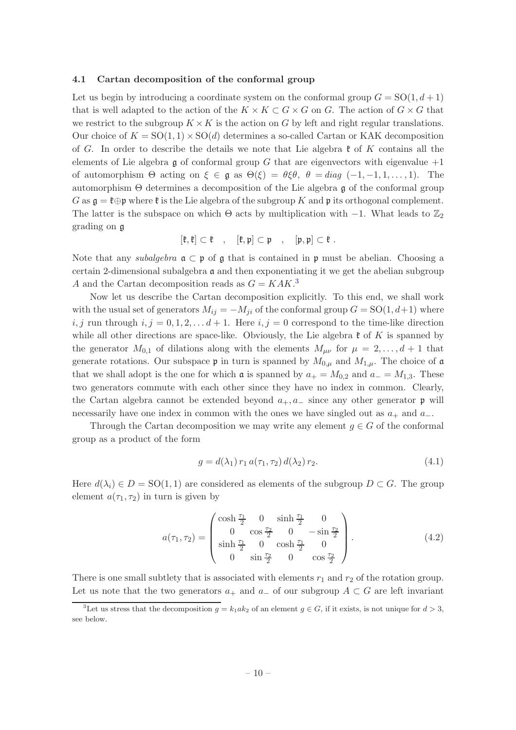#### <span id="page-10-0"></span>4.1 Cartan decomposition of the conformal group

Let us begin by introducing a coordinate system on the conformal group  $G = SO(1, d+1)$ that is well adapted to the action of the  $K \times K \subset G \times G$  on G. The action of  $G \times G$  that we restrict to the subgroup  $K \times K$  is the action on G by left and right regular translations. Our choice of  $K = SO(1, 1) \times SO(d)$  determines a so-called Cartan or KAK decomposition of G. In order to describe the details we note that Lie algebra  $\mathfrak{k}$  of K contains all the elements of Lie algebra g of conformal group G that are eigenvectors with eigenvalue  $+1$ of automorphism  $\Theta$  acting on  $\xi \in \mathfrak{g}$  as  $\Theta(\xi) = \theta \xi \theta$ ,  $\theta = diag(-1, -1, 1, \dots, 1)$ . The automorphism  $\Theta$  determines a decomposition of the Lie algebra g of the conformal group G as  $\mathfrak{g} = \mathfrak{k} \oplus \mathfrak{p}$  where  $\mathfrak{k}$  is the Lie algebra of the subgroup K and p its orthogonal complement. The latter is the subspace on which  $\Theta$  acts by multiplication with  $-1$ . What leads to  $\mathbb{Z}_2$ grading on g

$$
[\mathfrak{k},\mathfrak{k}]\subset \mathfrak{k} \quad , \quad [\mathfrak{k},\mathfrak{p}]\subset \mathfrak{p} \quad , \quad [\mathfrak{p},\mathfrak{p}]\subset \mathfrak{k} \ .
$$

Note that any *subalgebra*  $\mathfrak{a} \subset \mathfrak{p}$  of  $\mathfrak{g}$  that is contained in  $\mathfrak{p}$  must be abelian. Choosing a certain 2-dimensional subalgebra  $\alpha$  and then exponentiating it we get the abelian subgroup A and the Cartan decomposition reads as  $G = KAK$ <sup>[3](#page-10-1)</sup>

Now let us describe the Cartan decomposition explicitly. To this end, we shall work with the usual set of generators  $M_{ij} = -M_{ji}$  of the conformal group  $G = SO(1, d+1)$  where i, j run through  $i, j = 0, 1, 2, \ldots d + 1$ . Here  $i, j = 0$  correspond to the time-like direction while all other directions are space-like. Obviously, the Lie algebra  $\mathfrak k$  of K is spanned by the generator  $M_{0,1}$  of dilations along with the elements  $M_{\mu\nu}$  for  $\mu = 2, \ldots, d+1$  that generate rotations. Our subspace  $\mathfrak p$  in turn is spanned by  $M_{0,\mu}$  and  $M_{1,\mu}$ . The choice of  $\mathfrak a$ that we shall adopt is the one for which  $\mathfrak a$  is spanned by  $a_+ = M_{0,2}$  and  $a_- = M_{1,3}$ . These two generators commute with each other since they have no index in common. Clearly, the Cartan algebra cannot be extended beyond  $a_{+}, a_{-}$  since any other generator p will necessarily have one index in common with the ones we have singled out as  $a_{+}$  and  $a_{-}$ .

Through the Cartan decomposition we may write any element  $g \in G$  of the conformal group as a product of the form

<span id="page-10-2"></span>
$$
g = d(\lambda_1) r_1 a(\tau_1, \tau_2) d(\lambda_2) r_2.
$$
 (4.1)

Here  $d(\lambda_i) \in D = SO(1,1)$  are considered as elements of the subgroup  $D \subset G$ . The group element  $a(\tau_1, \tau_2)$  in turn is given by

$$
a(\tau_1, \tau_2) = \begin{pmatrix} \cosh \frac{\tau_1}{2} & 0 & \sinh \frac{\tau_1}{2} & 0\\ 0 & \cos \frac{\tau_2}{2} & 0 & -\sin \frac{\tau_2}{2} \\ \sinh \frac{\tau_1}{2} & 0 & \cosh \frac{\tau_1}{2} & 0\\ 0 & \sin \frac{\tau_2}{2} & 0 & \cos \frac{\tau_2}{2} \end{pmatrix}.
$$
 (4.2)

There is one small subtlety that is associated with elements  $r_1$  and  $r_2$  of the rotation group. Let us note that the two generators  $a_+$  and  $a_-$  of our subgroup  $A \subset G$  are left invariant

<span id="page-10-1"></span><sup>&</sup>lt;sup>3</sup>Let us stress that the decomposition  $g = k_1 a k_2$  of an element  $g \in G$ , if it exists, is not unique for  $d > 3$ , see below.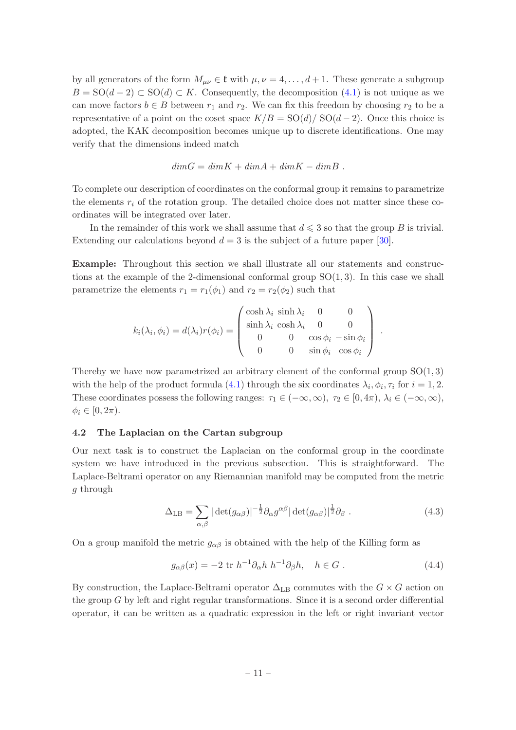by all generators of the form  $M_{\mu\nu} \in \mathfrak{k}$  with  $\mu, \nu = 4, \ldots, d+1$ . These generate a subgroup  $B = SO(d-2) \subset SO(d) \subset K$ . Consequently, the decomposition [\(4.1\)](#page-10-2) is not unique as we can move factors  $b \in B$  between  $r_1$  and  $r_2$ . We can fix this freedom by choosing  $r_2$  to be a representative of a point on the coset space  $K/B = SO(d)/SO(d-2)$ . Once this choice is adopted, the KAK decomposition becomes unique up to discrete identifications. One may verify that the dimensions indeed match

$$
dim G = dim K + dim A + dim K - dim B.
$$

To complete our description of coordinates on the conformal group it remains to parametrize the elements  $r_i$  of the rotation group. The detailed choice does not matter since these coordinates will be integrated over later.

In the remainder of this work we shall assume that  $d \leq 3$  so that the group B is trivial. Extending our calculations beyond  $d = 3$  is the subject of a future paper [\[30](#page-22-12)].

Example: Throughout this section we shall illustrate all our statements and constructions at the example of the 2-dimensional conformal group  $SO(1,3)$ . In this case we shall parametrize the elements  $r_1 = r_1(\phi_1)$  and  $r_2 = r_2(\phi_2)$  such that

$$
k_i(\lambda_i, \phi_i) = d(\lambda_i) r(\phi_i) = \begin{pmatrix} \cosh \lambda_i & \sinh \lambda_i & 0 & 0 \\ \sinh \lambda_i & \cosh \lambda_i & 0 & 0 \\ 0 & 0 & \cos \phi_i - \sin \phi_i \\ 0 & 0 & \sin \phi_i & \cos \phi_i \end{pmatrix}.
$$

Thereby we have now parametrized an arbitrary element of the conformal group  $SO(1,3)$ with the help of the product formula [\(4.1\)](#page-10-2) through the six coordinates  $\lambda_i, \phi_i, \tau_i$  for  $i = 1, 2$ . These coordinates possess the following ranges:  $\tau_1 \in (-\infty, \infty)$ ,  $\tau_2 \in [0, 4\pi)$ ,  $\lambda_i \in (-\infty, \infty)$ ,  $\phi_i \in [0, 2\pi).$ 

#### <span id="page-11-0"></span>4.2 The Laplacian on the Cartan subgroup

Our next task is to construct the Laplacian on the conformal group in the coordinate system we have introduced in the previous subsection. This is straightforward. The Laplace-Beltrami operator on any Riemannian manifold may be computed from the metric g through

$$
\Delta_{\text{LB}} = \sum_{\alpha,\beta} |\det(g_{\alpha\beta})|^{-\frac{1}{2}} \partial_{\alpha} g^{\alpha\beta} |\det(g_{\alpha\beta})|^{\frac{1}{2}} \partial_{\beta} . \tag{4.3}
$$

On a group manifold the metric  $g_{\alpha\beta}$  is obtained with the help of the Killing form as

$$
g_{\alpha\beta}(x) = -2 \text{ tr } h^{-1} \partial_{\alpha} h \ h^{-1} \partial_{\beta} h, \quad h \in G . \tag{4.4}
$$

By construction, the Laplace-Beltrami operator  $\Delta_{\text{LB}}$  commutes with the  $G \times G$  action on the group G by left and right regular transformations. Since it is a second order differential operator, it can be written as a quadratic expression in the left or right invariant vector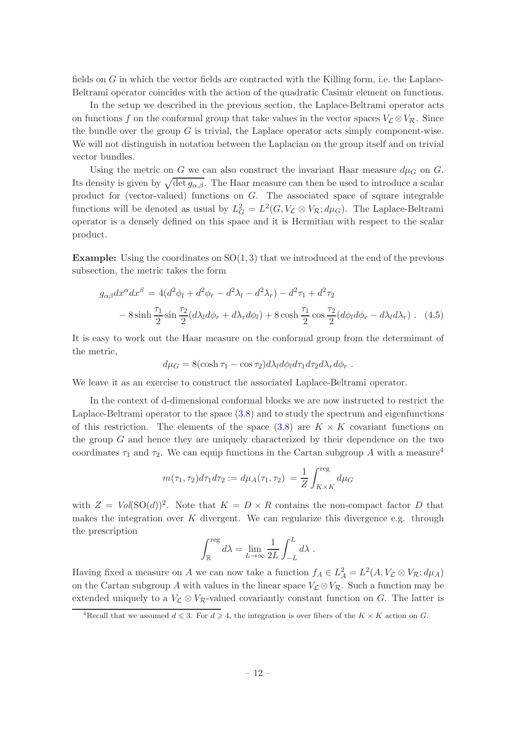fields on  $G$  in which the vector fields are contracted with the Killing form, i.e. the Laplace-Beltrami operator coincides with the action of the quadratic Casimir element on functions.

In the setup we described in the previous section, the Laplace-Beltrami operator acts on functions f on the conformal group that take values in the vector spaces  $V_{\mathcal{L}} \otimes V_{\mathcal{R}}$ . Since the bundle over the group  $G$  is trivial, the Laplace operator acts simply component-wise. We will not distinguish in notation between the Laplacian on the group itself and on trivial vector bundles.

Using the metric on G we can also construct the invariant Haar measure  $d\mu$  on G. Its density is given by  $\sqrt{\det g_{\alpha,\beta}}$ . The Haar measure can then be used to introduce a scalar product for (vector-valued) functions on G. The associated space of square integrable functions will be denoted as usual by  $L_G^2 = L^2(G, V_{\mathcal{L}} \otimes V_{\mathcal{R}}; d\mu_G)$ . The Laplace-Beltrami operator is a densely defined on this space and it is Hermitian with respect to the scalar product.

**Example:** Using the coordinates on  $SO(1,3)$  that we introduced at the end of the previous subsection, the metric takes the form

$$
g_{\alpha\beta}dx^{\alpha}dx^{\beta} = 4(d^2\phi_l + d^2\phi_r - d^2\lambda_l - d^2\lambda_r) - d^2\tau_1 + d^2\tau_2
$$
  
- 8 sinh  $\frac{\tau_1}{2}$ sin  $\frac{\tau_2}{2}$   $(d\lambda_l d\phi_r + d\lambda_r d\phi_l) + 8 \cosh \frac{\tau_1}{2} \cos \frac{\tau_2}{2} (d\phi_l d\phi_r - d\lambda_l d\lambda_r)$ . (4.5)

It is easy to work out the Haar measure on the conformal group from the determinant of the metric,

$$
d\mu_G = 8(\cosh \tau_1 - \cos \tau_2) d\lambda_l d\phi_l d\tau_1 d\tau_2 d\lambda_r d\phi_r.
$$

We leave it as an exercise to construct the associated Laplace-Beltrami operator.

In the context of d-dimensional conformal blocks we are now instructed to restrict the Laplace-Beltrami operator to the space [\(3.8\)](#page-8-2) and to study the spectrum and eigenfunctions of this restriction. The elements of the space  $(3.8)$  are  $K \times K$  covariant functions on the group  $G$  and hence they are uniquely characterized by their dependence on the two coordinates  $\tau_1$  and  $\tau_2$ . We can equip functions in the Cartan subgroup A with a measure<sup>[4](#page-12-0)</sup>

$$
m(\tau_1, \tau_2)d\tau_1 d\tau_2 := d\mu_A(\tau_1, \tau_2) = \frac{1}{Z} \int_{K \times K}^{\text{reg}} d\mu_G
$$

with  $Z = Vol(SO(d))^2$ . Note that  $K = D \times R$  contains the non-compact factor D that makes the integration over  $K$  divergent. We can regularize this divergence e.g. through the prescription

$$
\int_{\mathbb{R}}^{\text{reg}} d\lambda = \lim_{L \to \infty} \frac{1}{2L} \int_{-L}^{L} d\lambda.
$$

Having fixed a measure on A we can now take a function  $f_A \in L_A^2 = L^2(A, V_{\mathcal{L}} \otimes V_{\mathcal{R}}; d\mu_A)$ on the Cartan subgroup A with values in the linear space  $V_{\mathcal{L}} \otimes V_{\mathcal{R}}$ . Such a function may be extended uniquely to a  $V_{\mathcal{L}} \otimes V_{\mathcal{R}}$ -valued covariantly constant function on G. The latter is

<span id="page-12-0"></span><sup>&</sup>lt;sup>4</sup>Recall that we assumed  $d \leq 3$ . For  $d \geq 4$ , the integration is over fibers of the  $K \times K$  action on G.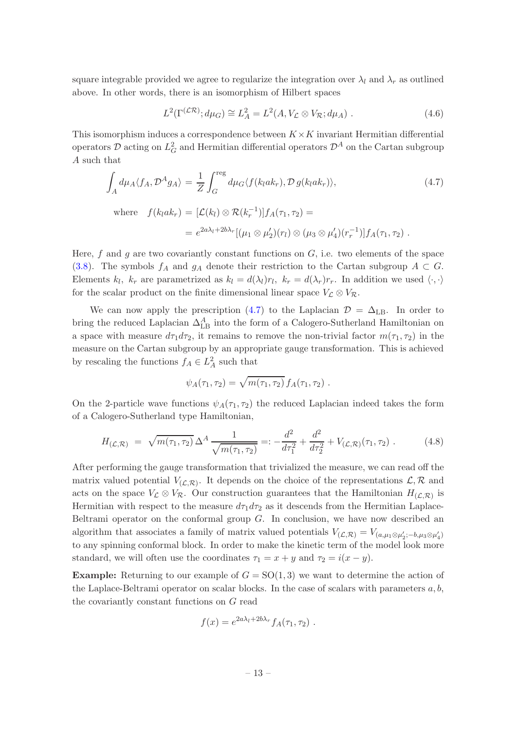square integrable provided we agree to regularize the integration over  $\lambda_l$  and  $\lambda_r$  as outlined above. In other words, there is an isomorphism of Hilbert spaces

$$
L^{2}(\Gamma^{(\mathcal{LR})}; d\mu_{G}) \cong L^{2}_{A} = L^{2}(A, V_{\mathcal{L}} \otimes V_{\mathcal{R}}; d\mu_{A}). \qquad (4.6)
$$

This isomorphism induces a correspondence between  $K \times K$  invariant Hermitian differential operators  $\mathcal D$  acting on  $L^2_G$  and Hermitian differential operators  $\mathcal D^A$  on the Cartan subgroup A such that

<span id="page-13-0"></span>
$$
\int_{A} d\mu_A \langle f_A, \mathcal{D}^A g_A \rangle = \frac{1}{Z} \int_{G}^{\text{reg}} d\mu_G \langle f(k_l a k_r), \mathcal{D} g(k_l a k_r) \rangle,
$$
\nwhere  $f(k_l a k_r) = [\mathcal{L}(k_l) \otimes \mathcal{R}(k_r^{-1})] f_A(\tau_1, \tau_2) =$   
\n
$$
= e^{2a\lambda_l + 2b\lambda_r} [(\mu_1 \otimes \mu_2')(r_l) \otimes (\mu_3 \otimes \mu_4')(r_r^{-1})] f_A(\tau_1, \tau_2).
$$
\n(4.7)

Here, f and g are two covariantly constant functions on  $G$ , i.e. two elements of the space [\(3.8\)](#page-8-2). The symbols  $f_A$  and  $g_A$  denote their restriction to the Cartan subgroup  $A \subset G$ . Elements  $k_l$ ,  $k_r$  are parametrized as  $k_l = d(\lambda_l)r_l$ ,  $k_r = d(\lambda_r)r_r$ . In addition we used  $\langle \cdot, \cdot \rangle$ for the scalar product on the finite dimensional linear space  $V_{\mathcal{L}} \otimes V_{\mathcal{R}}$ .

We can now apply the prescription [\(4.7\)](#page-13-0) to the Laplacian  $\mathcal{D} = \Delta_{LB}$ . In order to bring the reduced Laplacian  $\Delta_{\text{LB}}^A$  into the form of a Calogero-Sutherland Hamiltonian on a space with measure  $d\tau_1 d\tau_2$ , it remains to remove the non-trivial factor  $m(\tau_1, \tau_2)$  in the measure on the Cartan subgroup by an appropriate gauge transformation. This is achieved by rescaling the functions  $f_A \in L_A^2$  such that

<span id="page-13-1"></span>
$$
\psi_A(\tau_1, \tau_2) = \sqrt{m(\tau_1, \tau_2)} f_A(\tau_1, \tau_2) .
$$

On the 2-particle wave functions  $\psi_A(\tau_1, \tau_2)$  the reduced Laplacian indeed takes the form of a Calogero-Sutherland type Hamiltonian,

$$
H_{(\mathcal{L}, \mathcal{R})} = \sqrt{m(\tau_1, \tau_2)} \,\Delta^A \, \frac{1}{\sqrt{m(\tau_1, \tau_2)}} =: -\frac{d^2}{d\tau_1^2} + \frac{d^2}{d\tau_2^2} + V_{(\mathcal{L}, \mathcal{R})}(\tau_1, \tau_2) \,. \tag{4.8}
$$

After performing the gauge transformation that trivialized the measure, we can read off the matrix valued potential  $V_{(\mathcal{L},\mathcal{R})}$ . It depends on the choice of the representations  $\mathcal{L}, \mathcal{R}$  and acts on the space  $V_{\mathcal{L}} \otimes V_{\mathcal{R}}$ . Our construction guarantees that the Hamiltonian  $H_{(\mathcal{L},\mathcal{R})}$  is Hermitian with respect to the measure  $d\tau_1 d\tau_2$  as it descends from the Hermitian Laplace-Beltrami operator on the conformal group  $G$ . In conclusion, we have now described an algorithm that associates a family of matrix valued potentials  $V_{(\mathcal{L},\mathcal{R})} = V_{(a,\mu_1 \otimes \mu'_2; -b,\mu_3 \otimes \mu'_4)}$ to any spinning conformal block. In order to make the kinetic term of the model look more standard, we will often use the coordinates  $\tau_1 = x + y$  and  $\tau_2 = i(x - y)$ .

**Example:** Returning to our example of  $G = SO(1, 3)$  we want to determine the action of the Laplace-Beltrami operator on scalar blocks. In the case of scalars with parameters  $a, b$ , the covariantly constant functions on G read

$$
f(x) = e^{2a\lambda_l + 2b\lambda_r} f_A(\tau_1, \tau_2) .
$$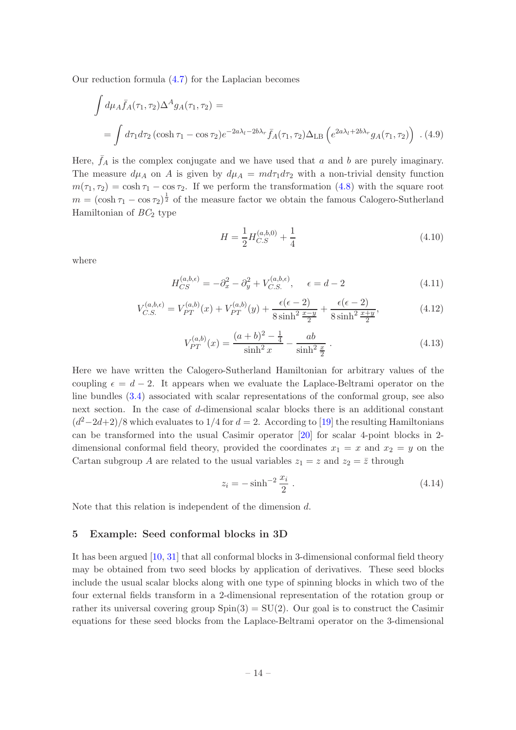Our reduction formula [\(4.7\)](#page-13-0) for the Laplacian becomes

$$
\int d\mu_A \bar{f}_A(\tau_1, \tau_2) \Delta^A g_A(\tau_1, \tau_2) =
$$
\n
$$
= \int d\tau_1 d\tau_2 (\cosh \tau_1 - \cos \tau_2) e^{-2a\lambda_l - 2b\lambda_r} \bar{f}_A(\tau_1, \tau_2) \Delta_{\text{LB}} \left( e^{2a\lambda_l + 2b\lambda_r} g_A(\tau_1, \tau_2) \right) . (4.9)
$$

Here,  $\bar{f}_A$  is the complex conjugate and we have used that a and b are purely imaginary. The measure  $d\mu_A$  on A is given by  $d\mu_A = md\tau_1 d\tau_2$  with a non-trivial density function  $m(\tau_1, \tau_2) = \cosh \tau_1 - \cos \tau_2$ . If we perform the transformation [\(4.8\)](#page-13-1) with the square root  $m = (\cosh \tau_1 - \cos \tau_2)^{\frac{1}{2}}$  of the measure factor we obtain the famous Calogero-Sutherland Hamiltonian of *BC*<sup>2</sup> type

<span id="page-14-1"></span>
$$
H = \frac{1}{2}H_{C.S}^{(a,b,0)} + \frac{1}{4}
$$
\n(4.10)

where

$$
H_{CS}^{(a,b,\epsilon)} = -\partial_x^2 - \partial_y^2 + V_{C.S.}^{(a,b,\epsilon)}, \quad \epsilon = d - 2
$$
 (4.11)

$$
V_{C.S.}^{(a,b,\epsilon)} = V_{PT}^{(a,b)}(x) + V_{PT}^{(a,b)}(y) + \frac{\epsilon(\epsilon - 2)}{8\sinh^2\frac{x-y}{2}} + \frac{\epsilon(\epsilon - 2)}{8\sinh^2\frac{x+y}{2}},\tag{4.12}
$$

$$
V_{PT}^{(a,b)}(x) = \frac{(a+b)^2 - \frac{1}{4}}{\sinh^2 x} - \frac{ab}{\sinh^2 \frac{x}{2}}.
$$
\n(4.13)

Here we have written the Calogero-Sutherland Hamiltonian for arbitrary values of the coupling  $\epsilon = d - 2$ . It appears when we evaluate the Laplace-Beltrami operator on the line bundles [\(3.4\)](#page-8-0) associated with scalar representations of the conformal group, see also next section. In the case of d-dimensional scalar blocks there is an additional constant  $(d^2-2d+2)/8$  which evaluates to 1/4 for  $d=2$ . According to [\[19\]](#page-22-3) the resulting Hamiltonians can be transformed into the usual Casimir operator [\[20](#page-22-4)] for scalar 4-point blocks in 2 dimensional conformal field theory, provided the coordinates  $x_1 = x$  and  $x_2 = y$  on the Cartan subgroup A are related to the usual variables  $z_1 = z$  and  $z_2 = \overline{z}$  through

$$
z_i = -\sinh^{-2} \frac{x_i}{2} \ . \tag{4.14}
$$

Note that this relation is independent of the dimension d.

# <span id="page-14-0"></span>5 Example: Seed conformal blocks in 3D

It has been argued [\[10,](#page-21-5) [31](#page-22-13)] that all conformal blocks in 3-dimensional conformal field theory may be obtained from two seed blocks by application of derivatives. These seed blocks include the usual scalar blocks along with one type of spinning blocks in which two of the four external fields transform in a 2-dimensional representation of the rotation group or rather its universal covering group  $Spin(3) = SU(2)$ . Our goal is to construct the Casimir equations for these seed blocks from the Laplace-Beltrami operator on the 3-dimensional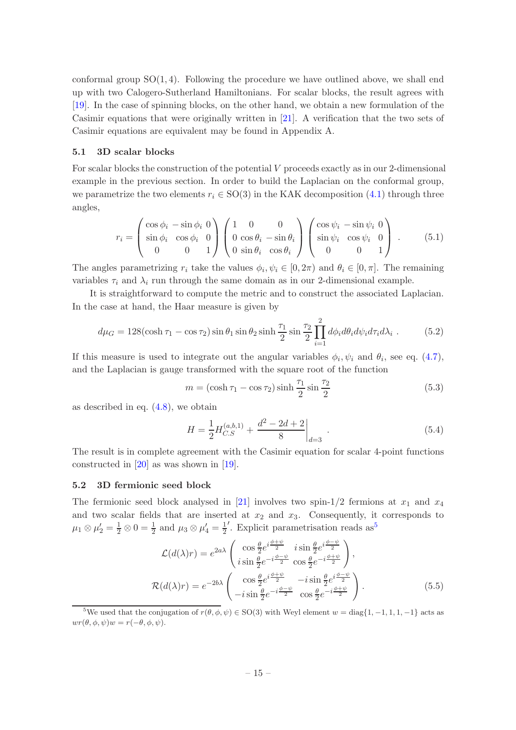conformal group  $SO(1, 4)$ . Following the procedure we have outlined above, we shall end up with two Calogero-Sutherland Hamiltonians. For scalar blocks, the result agrees with [\[19](#page-22-3)]. In the case of spinning blocks, on the other hand, we obtain a new formulation of the Casimir equations that were originally written in [\[21\]](#page-22-0). A verification that the two sets of Casimir equations are equivalent may be found in Appendix A.

### <span id="page-15-0"></span>5.1 3D scalar blocks

For scalar blocks the construction of the potential  $V$  proceeds exactly as in our 2-dimensional example in the previous section. In order to build the Laplacian on the conformal group, we parametrize the two elements  $r_i \in SO(3)$  in the KAK decomposition [\(4.1\)](#page-10-2) through three angles,

$$
r_i = \begin{pmatrix} \cos\phi_i & -\sin\phi_i & 0\\ \sin\phi_i & \cos\phi_i & 0\\ 0 & 0 & 1 \end{pmatrix} \begin{pmatrix} 1 & 0 & 0\\ 0 & \cos\theta_i & -\sin\theta_i\\ 0 & \sin\theta_i & \cos\theta_i \end{pmatrix} \begin{pmatrix} \cos\psi_i & -\sin\psi_i & 0\\ \sin\psi_i & \cos\psi_i & 0\\ 0 & 0 & 1 \end{pmatrix} . \tag{5.1}
$$

The angles parametrizing  $r_i$  take the values  $\phi_i, \psi_i \in [0, 2\pi)$  and  $\theta_i \in [0, \pi]$ . The remaining variables  $\tau_i$  and  $\lambda_i$  run through the same domain as in our 2-dimensional example.

It is straightforward to compute the metric and to construct the associated Laplacian. In the case at hand, the Haar measure is given by

$$
d\mu_G = 128(\cosh \tau_1 - \cos \tau_2)\sin \theta_1 \sin \theta_2 \sinh \frac{\tau_1}{2}\sin \frac{\tau_2}{2}\prod_{i=1}^2 d\phi_i d\theta_i d\psi_i d\tau_i d\lambda_i . \qquad (5.2)
$$

If this measure is used to integrate out the angular variables  $\phi_i, \psi_i$  and  $\theta_i$ , see eq. [\(4.7\)](#page-13-0), and the Laplacian is gauge transformed with the square root of the function

<span id="page-15-3"></span>
$$
m = (\cosh \tau_1 - \cos \tau_2) \sinh \frac{\tau_1}{2} \sin \frac{\tau_2}{2}
$$
 (5.3)

as described in eq. [\(4.8\)](#page-13-1), we obtain

$$
H = \frac{1}{2} H_{C.S}^{(a,b,1)} + \frac{d^2 - 2d + 2}{8} \bigg|_{d=3} \tag{5.4}
$$

The result is in complete agreement with the Casimir equation for scalar 4-point functions constructed in [\[20\]](#page-22-4) as was shown in [\[19\]](#page-22-3).

#### <span id="page-15-1"></span>5.2 3D fermionic seed block

The fermionic seed block analysed in [\[21](#page-22-0)] involves two spin-1/2 fermions at  $x_1$  and  $x_4$ and two scalar fields that are inserted at  $x_2$  and  $x_3$ . Consequently, it corresponds to  $\mu_1 \otimes \mu_2' = \frac{1}{2} \otimes 0 = \frac{1}{2}$  and  $\mu_3 \otimes \mu_4' = \frac{1}{2}$  $\frac{1}{2}$ . Explicit parametrisation reads as<sup>[5](#page-15-2)</sup>

$$
\mathcal{L}(d(\lambda)r) = e^{2a\lambda} \begin{pmatrix} \cos\frac{\theta}{2}e^{i\frac{\phi+\psi}{2}} & i\sin\frac{\theta}{2}e^{i\frac{\phi-\psi}{2}}\\ i\sin\frac{\theta}{2}e^{-i\frac{\phi-\psi}{2}} & \cos\frac{\theta}{2}e^{-i\frac{\phi+\psi}{2}} \end{pmatrix},
$$
  

$$
\mathcal{R}(d(\lambda)r) = e^{-2b\lambda} \begin{pmatrix} \cos\frac{\theta}{2}e^{i\frac{\phi+\psi}{2}} & -i\sin\frac{\theta}{2}e^{i\frac{\phi-\psi}{2}}\\ -i\sin\frac{\theta}{2}e^{-i\frac{\phi-\psi}{2}} & \cos\frac{\theta}{2}e^{-i\frac{\phi+\psi}{2}} \end{pmatrix}.
$$
(5.5)

<span id="page-15-2"></span><sup>&</sup>lt;sup>5</sup>We used that the conjugation of  $r(\theta, \phi, \psi) \in SO(3)$  with Weyl element  $w = \text{diag}\{1, -1, 1, 1, -1\}$  acts as  $wr(\theta, \phi, \psi)w = r(-\theta, \phi, \psi).$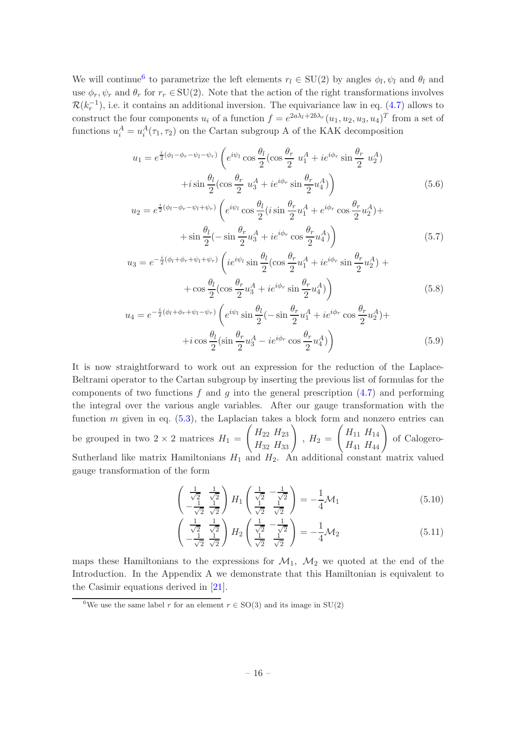We will continue<sup>[6](#page-16-0)</sup> to parametrize the left elements  $r_l \in SU(2)$  by angles  $\phi_l, \psi_l$  and  $\theta_l$  and use  $\phi_r, \psi_r$  and  $\theta_r$  for  $r_r \in SU(2)$ . Note that the action of the right transformations involves  $\mathcal{R}(k_r^{-1})$ , i.e. it contains an additional inversion. The equivariance law in eq. [\(4.7\)](#page-13-0) allows to construct the four components  $u_i$  of a function  $f = e^{2a\lambda_l + 2b\lambda_r}(u_1, u_2, u_3, u_4)^T$  from a set of functions  $u_i^A = u_i^A(\tau_1, \tau_2)$  on the Cartan subgroup A of the KAK decomposition

$$
u_1 = e^{\frac{i}{2}(\phi_l - \phi_r - \psi_l - \psi_r)} \left( e^{i\psi_l} \cos \frac{\theta_l}{2} (\cos \frac{\theta_r}{2} u_1^A + i e^{i\phi_r} \sin \frac{\theta_r}{2} u_2^A) + i \sin \frac{\theta_l}{2} (\cos \frac{\theta_r}{2} u_3^A + i e^{i\phi_r} \sin \frac{\theta_r}{2} u_4^A) \right)
$$
(5.6)

$$
u_2 = e^{\frac{i}{2}(\phi_l - \phi_r - \psi_l + \psi_r)} \left( e^{i\psi_l} \cos \frac{\theta_l}{2} (i \sin \frac{\theta_r}{2} u_1^A + e^{i\phi_r} \cos \frac{\theta_r}{2} u_2^A) + \sin \frac{\theta_l}{2} (-\sin \frac{\theta_r}{2} u_3^A + i e^{i\phi_r} \cos \frac{\theta_r}{2} u_4^A) \right)
$$
(5.7)

$$
u_3 = e^{-\frac{i}{2}(\phi_l + \phi_r + \psi_l + \psi_r)} \left( i e^{i\psi_l} \sin \frac{\theta_l}{2} (\cos \frac{\theta_r}{2} u_1^A + i e^{i\phi_r} \sin \frac{\theta_r}{2} u_2^A) + \cos \frac{\theta_l}{2} (\cos \frac{\theta_r}{2} u_3^A + i e^{i\phi_r} \sin \frac{\theta_r}{2} u_4^A) \right)
$$
(5.8)

$$
u_4 = e^{-\frac{i}{2}(\phi_l + \phi_r + \psi_l - \psi_r)} \left( e^{i\psi_l} \sin \frac{\theta_l}{2} \left( -\sin \frac{\theta_r}{2} u_1^A + i e^{i\phi_r} \cos \frac{\theta_r}{2} u_2^A \right) + i \cos \frac{\theta_l}{2} (\sin \frac{\theta_r}{2} u_3^A - i e^{i\phi_r} \cos \frac{\theta_r}{2} u_4^A) \right)
$$
(5.9)

It is now straightforward to work out an expression for the reduction of the Laplace-Beltrami operator to the Cartan subgroup by inserting the previous list of formulas for the components of two functions  $f$  and  $g$  into the general prescription  $(4.7)$  and performing the integral over the various angle variables. After our gauge transformation with the function m given in eq.  $(5.3)$ , the Laplacian takes a block form and nonzero entries can be grouped in two  $2 \times 2$  matrices  $H_1 =$  $\begin{pmatrix} H_{22} & H_{23} \ H_{32} & H_{33} \end{pmatrix}$  ,  $H_2 =$  $\left(\begin{array}{c} H_{11} \ H_{14} \ H_{41} \ H_{44} \end{array}\right)$ of Calogero-Sutherland like matrix Hamiltonians  $H_1$  and  $H_2$ . An additional constant matrix valued gauge transformation of the form

$$
\begin{pmatrix}\n\frac{1}{\sqrt{2}} & \frac{1}{\sqrt{2}} \\
-\frac{1}{\sqrt{2}} & \frac{1}{\sqrt{2}}\n\end{pmatrix} H_1 \begin{pmatrix}\n\frac{1}{\sqrt{2}} & -\frac{1}{\sqrt{2}} \\
\frac{1}{\sqrt{2}} & \frac{1}{\sqrt{2}}\n\end{pmatrix} = -\frac{1}{4} \mathcal{M}_1
$$
\n(5.10)

$$
\begin{pmatrix}\n\frac{1}{\sqrt{2}} & \frac{1}{\sqrt{2}} \\
-\frac{1}{\sqrt{2}} & \frac{1}{\sqrt{2}}\n\end{pmatrix} H_2 \begin{pmatrix}\n\frac{1}{\sqrt{2}} & -\frac{1}{\sqrt{2}} \\
\frac{1}{\sqrt{2}} & \frac{1}{\sqrt{2}}\n\end{pmatrix} = -\frac{1}{4} \mathcal{M}_2
$$
\n(5.11)

maps these Hamiltonians to the expressions for  $\mathcal{M}_1$ ,  $\mathcal{M}_2$  we quoted at the end of the Introduction. In the Appendix A we demonstrate that this Hamiltonian is equivalent to the Casimir equations derived in [\[21](#page-22-0)].

<span id="page-16-0"></span><sup>&</sup>lt;sup>6</sup>We use the same label r for an element  $r \in SO(3)$  and its image in  $SU(2)$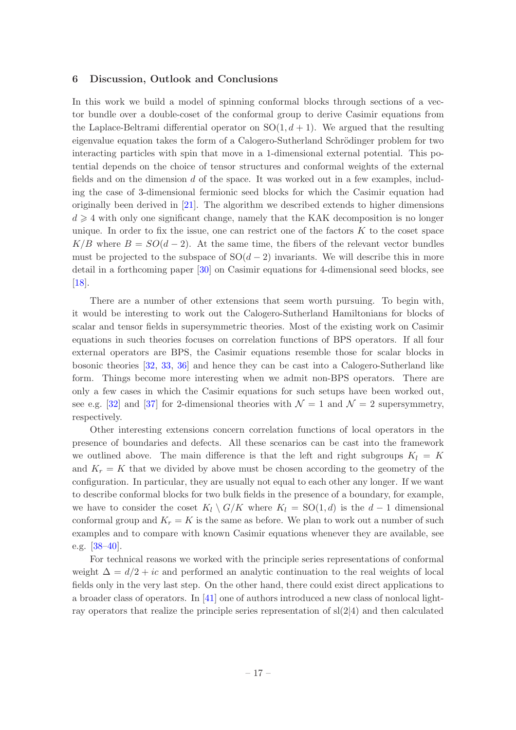### <span id="page-17-0"></span>6 Discussion, Outlook and Conclusions

In this work we build a model of spinning conformal blocks through sections of a vector bundle over a double-coset of the conformal group to derive Casimir equations from the Laplace-Beltrami differential operator on  $SO(1, d+1)$ . We argued that the resulting eigenvalue equation takes the form of a Calogero-Sutherland Schrödinger problem for two interacting particles with spin that move in a 1-dimensional external potential. This potential depends on the choice of tensor structures and conformal weights of the external fields and on the dimension d of the space. It was worked out in a few examples, including the case of 3-dimensional fermionic seed blocks for which the Casimir equation had originally been derived in [\[21](#page-22-0)]. The algorithm we described extends to higher dimensions  $d \geq 4$  with only one significant change, namely that the KAK decomposition is no longer unique. In order to fix the issue, one can restrict one of the factors  $K$  to the coset space  $K/B$  where  $B = SO(d-2)$ . At the same time, the fibers of the relevant vector bundles must be projected to the subspace of  $SO(d-2)$  invariants. We will describe this in more detail in a forthcoming paper [\[30\]](#page-22-12) on Casimir equations for 4-dimensional seed blocks, see [\[18](#page-22-2)].

There are a number of other extensions that seem worth pursuing. To begin with, it would be interesting to work out the Calogero-Sutherland Hamiltonians for blocks of scalar and tensor fields in supersymmetric theories. Most of the existing work on Casimir equations in such theories focuses on correlation functions of BPS operators. If all four external operators are BPS, the Casimir equations resemble those for scalar blocks in bosonic theories [\[32,](#page-22-14) [33](#page-23-0), [36](#page-23-1)] and hence they can be cast into a Calogero-Sutherland like form. Things become more interesting when we admit non-BPS operators. There are only a few cases in which the Casimir equations for such setups have been worked out, see e.g. [\[32](#page-22-14)] and [\[37](#page-23-2)] for 2-dimensional theories with  $\mathcal{N}=1$  and  $\mathcal{N}=2$  supersymmetry, respectively.

Other interesting extensions concern correlation functions of local operators in the presence of boundaries and defects. All these scenarios can be cast into the framework we outlined above. The main difference is that the left and right subgroups  $K_l = K$ and  $K_r = K$  that we divided by above must be chosen according to the geometry of the configuration. In particular, they are usually not equal to each other any longer. If we want to describe conformal blocks for two bulk fields in the presence of a boundary, for example, we have to consider the coset  $K_l \setminus G/K$  where  $K_l = SO(1, d)$  is the  $d-1$  dimensional conformal group and  $K_r = K$  is the same as before. We plan to work out a number of such examples and to compare with known Casimir equations whenever they are available, see e.g. [\[38](#page-23-3)[–40\]](#page-23-4).

For technical reasons we worked with the principle series representations of conformal weight  $\Delta = d/2 + ic$  and performed an analytic continuation to the real weights of local fields only in the very last step. On the other hand, there could exist direct applications to a broader class of operators. In [\[41](#page-23-5)] one of authors introduced a new class of nonlocal lightray operators that realize the principle series representation of  $sl(2|4)$  and then calculated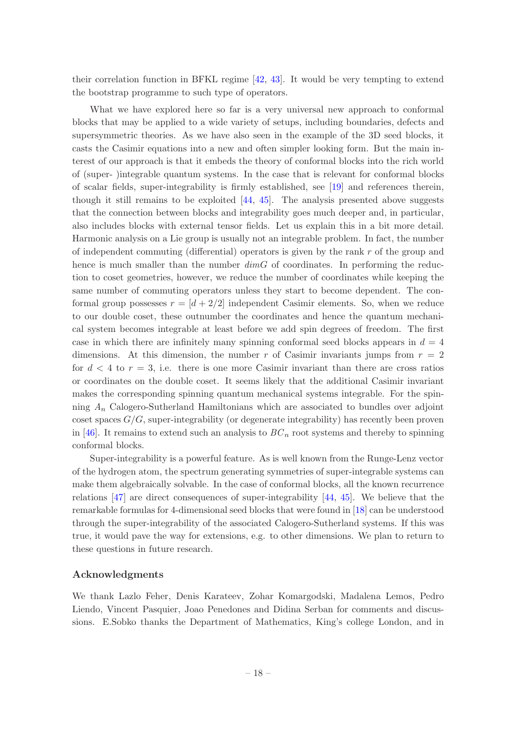their correlation function in BFKL regime [\[42,](#page-23-6) [43\]](#page-23-7). It would be very tempting to extend the bootstrap programme to such type of operators.

What we have explored here so far is a very universal new approach to conformal blocks that may be applied to a wide variety of setups, including boundaries, defects and supersymmetric theories. As we have also seen in the example of the 3D seed blocks, it casts the Casimir equations into a new and often simpler looking form. But the main interest of our approach is that it embeds the theory of conformal blocks into the rich world of (super- )integrable quantum systems. In the case that is relevant for conformal blocks of scalar fields, super-integrability is firmly established, see [\[19](#page-22-3)] and references therein, though it still remains to be exploited  $[44, 45]$  $[44, 45]$ . The analysis presented above suggests that the connection between blocks and integrability goes much deeper and, in particular, also includes blocks with external tensor fields. Let us explain this in a bit more detail. Harmonic analysis on a Lie group is usually not an integrable problem. In fact, the number of independent commuting (differential) operators is given by the rank  $r$  of the group and hence is much smaller than the number  $\dim G$  of coordinates. In performing the reduction to coset geometries, however, we reduce the number of coordinates while keeping the same number of commuting operators unless they start to become dependent. The conformal group possesses  $r = [d + 2/2]$  independent Casimir elements. So, when we reduce to our double coset, these outnumber the coordinates and hence the quantum mechanical system becomes integrable at least before we add spin degrees of freedom. The first case in which there are infinitely many spinning conformal seed blocks appears in  $d = 4$ dimensions. At this dimension, the number r of Casimir invariants jumps from  $r = 2$ for  $d < 4$  to  $r = 3$ , i.e. there is one more Casimir invariant than there are cross ratios or coordinates on the double coset. It seems likely that the additional Casimir invariant makes the corresponding spinning quantum mechanical systems integrable. For the spinning *A*<sup>n</sup> Calogero-Sutherland Hamiltonians which are associated to bundles over adjoint coset spaces  $G/G$ , super-integrability (or degenerate integrability) has recently been proven in [\[46](#page-23-10)]. It remains to extend such an analysis to  $BC_n$  root systems and thereby to spinning conformal blocks.

Super-integrability is a powerful feature. As is well known from the Runge-Lenz vector of the hydrogen atom, the spectrum generating symmetries of super-integrable systems can make them algebraically solvable. In the case of conformal blocks, all the known recurrence relations [\[47](#page-23-11)] are direct consequences of super-integrability [\[44](#page-23-8), [45](#page-23-9)]. We believe that the remarkable formulas for 4-dimensional seed blocks that were found in [\[18](#page-22-2)] can be understood through the super-integrability of the associated Calogero-Sutherland systems. If this was true, it would pave the way for extensions, e.g. to other dimensions. We plan to return to these questions in future research.

## Acknowledgments

We thank Lazlo Feher, Denis Karateev, Zohar Komargodski, Madalena Lemos, Pedro Liendo, Vincent Pasquier, Joao Penedones and Didina Serban for comments and discussions. E.Sobko thanks the Department of Mathematics, King's college London, and in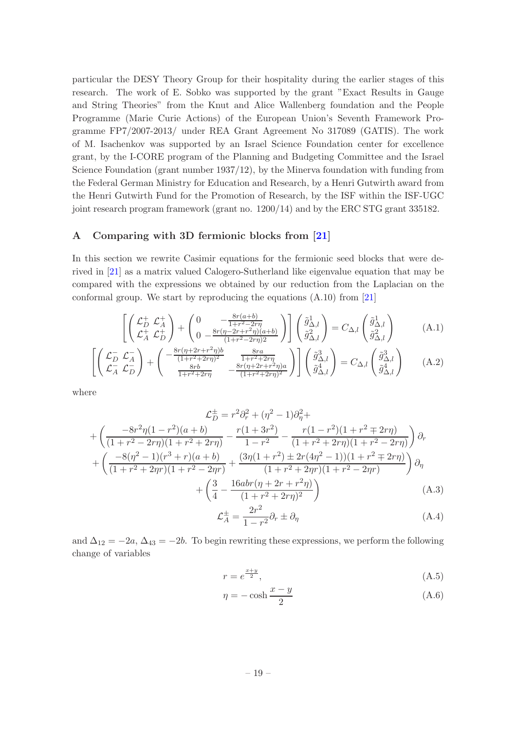particular the DESY Theory Group for their hospitality during the earlier stages of this research. The work of E. Sobko was supported by the grant "Exact Results in Gauge and String Theories" from the Knut and Alice Wallenberg foundation and the People Programme (Marie Curie Actions) of the European Union's Seventh Framework Programme FP7/2007-2013/ under REA Grant Agreement No 317089 (GATIS). The work of M. Isachenkov was supported by an Israel Science Foundation center for excellence grant, by the I-CORE program of the Planning and Budgeting Committee and the Israel Science Foundation (grant number 1937/12), by the Minerva foundation with funding from the Federal German Ministry for Education and Research, by a Henri Gutwirth award from the Henri Gutwirth Fund for the Promotion of Research, by the ISF within the ISF-UGC joint research program framework (grant no. 1200/14) and by the ERC STG grant 335182.

# <span id="page-19-0"></span>A Comparing with 3D fermionic blocks from [\[21\]](#page-22-0)

In this section we rewrite Casimir equations for the fermionic seed blocks that were derived in [\[21](#page-22-0)] as a matrix valued Calogero-Sutherland like eigenvalue equation that may be compared with the expressions we obtained by our reduction from the Laplacian on the conformal group. We start by reproducing the equations (A.10) from [\[21](#page-22-0)]

$$
\begin{bmatrix}\n\begin{pmatrix}\n\mathcal{L}_D^+ & \mathcal{L}_A^+ \\
\mathcal{L}_A^+ & \mathcal{L}_D^+\n\end{pmatrix} + \begin{pmatrix}\n0 & -\frac{8r(a+b)}{1+r^2-2r\eta} \\
0 & -\frac{8r(\eta-2r+r^2\eta)(a+b)}{(1+r^2-2r\eta)^2}\n\end{pmatrix}\n\end{bmatrix}\n\begin{pmatrix}\n\tilde{g}_{\Delta,l}^1 \\
\tilde{g}_{\Delta,l}^2\n\end{pmatrix} = C_{\Delta,l}\begin{pmatrix}\n\tilde{g}_{\Delta,l}^1 \\
\tilde{g}_{\Delta,l}^2\n\end{pmatrix}
$$
\n(A.1)

$$
\left[ \begin{pmatrix} \mathcal{L}_D^- & \mathcal{L}_A^- \\ \mathcal{L}_A^- & \mathcal{L}_D^- \end{pmatrix} + \begin{pmatrix} -\frac{8r(\eta + 2r + r^2\eta)b}{(1 + r^2 + 2r\eta)^2} & \frac{8ra}{1 + r^2 + 2r\eta} \\ \frac{8rb}{1 + r^2 + 2r\eta} & -\frac{8r(\eta + 2r + r^2\eta)a}{(1 + r^2 + 2r\eta)^2} \end{pmatrix} \right] \begin{pmatrix} \tilde{g}_{\Delta,l}^3 \\ \tilde{g}_{\Delta,l}^4 \end{pmatrix} = C_{\Delta,l} \begin{pmatrix} \tilde{g}_{\Delta,l}^3 \\ \tilde{g}_{\Delta,l}^4 \end{pmatrix} \tag{A.2}
$$

where

$$
\mathcal{L}_D^{\pm} = r^2 \partial_r^2 + (\eta^2 - 1) \partial_\eta^2 +
$$
  
+  $\left( \frac{-8r^2 \eta (1 - r^2)(a + b)}{(1 + r^2 - 2r\eta)(1 + r^2 + 2r\eta)} - \frac{r(1 + 3r^2)}{1 - r^2} - \frac{r(1 - r^2)(1 + r^2 \mp 2r\eta)}{(1 + r^2 + 2r\eta)(1 + r^2 - 2r\eta)} \right) \partial_r$   
+  $\left( \frac{-8(\eta^2 - 1)(r^3 + r)(a + b)}{(1 + r^2 + 2\eta r)(1 + r^2 - 2\eta r)} + \frac{(3\eta (1 + r^2) \pm 2r(4\eta^2 - 1))(1 + r^2 \mp 2r\eta)}{(1 + r^2 + 2\eta r)(1 + r^2 - 2\eta r)} \right) \partial_\eta$   
+  $\left( \frac{3}{4} - \frac{16abr(\eta + 2r + r^2\eta)}{(1 + r^2 + 2r\eta)^2} \right)$  (A.3)

<span id="page-19-2"></span><span id="page-19-1"></span>
$$
\mathcal{L}_A^{\pm} = \frac{2r^2}{1 - r^2} \partial_r \pm \partial_\eta \tag{A.4}
$$

and  $\Delta_{12} = -2a$ ,  $\Delta_{43} = -2b$ . To begin rewriting these expressions, we perform the following change of variables

$$
r = e^{\frac{x+y}{2}},\tag{A.5}
$$

$$
\eta = -\cosh\frac{x-y}{2} \tag{A.6}
$$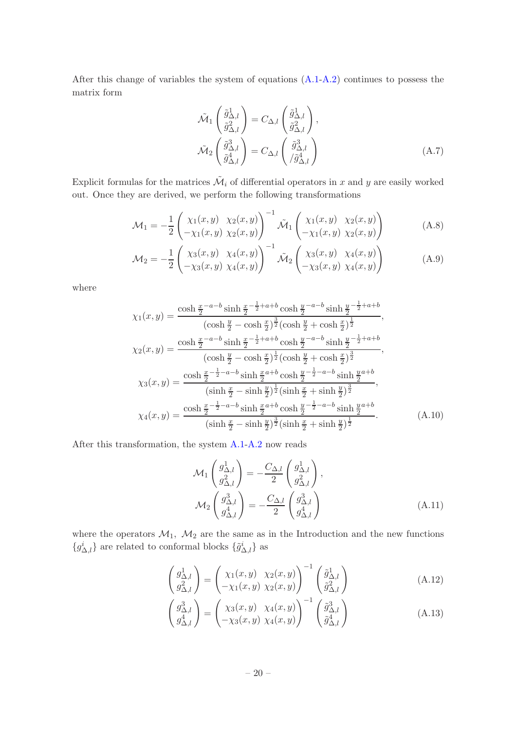After this change of variables the system of equations [\(A.1-](#page-19-1)[A.2\)](#page-19-2) continues to possess the matrix form

$$
\tilde{\mathcal{M}}_1 \begin{pmatrix} \tilde{g}_{\Delta,l}^1 \\ \tilde{g}_{\Delta,l}^2 \end{pmatrix} = C_{\Delta,l} \begin{pmatrix} \tilde{g}_{\Delta,l}^1 \\ \tilde{g}_{\Delta,l}^2 \end{pmatrix},
$$
\n
$$
\tilde{\mathcal{M}}_2 \begin{pmatrix} \tilde{g}_{\Delta,l}^3 \\ \tilde{g}_{\Delta,l}^4 \end{pmatrix} = C_{\Delta,l} \begin{pmatrix} \tilde{g}_{\Delta,l}^3 \\ / \tilde{g}_{\Delta,l}^4 \end{pmatrix}
$$
\n(A.7)

Explicit formulas for the matrices  $\tilde{\mathcal{M}}_i$  of differential operators in x and y are easily worked out. Once they are derived, we perform the following transformations

$$
\mathcal{M}_1 = -\frac{1}{2} \begin{pmatrix} \chi_1(x, y) & \chi_2(x, y) \\ -\chi_1(x, y) & \chi_2(x, y) \end{pmatrix}^{-1} \tilde{\mathcal{M}}_1 \begin{pmatrix} \chi_1(x, y) & \chi_2(x, y) \\ -\chi_1(x, y) & \chi_2(x, y) \end{pmatrix}
$$
(A.8)

$$
\mathcal{M}_2 = -\frac{1}{2} \begin{pmatrix} \chi_3(x, y) & \chi_4(x, y) \\ -\chi_3(x, y) & \chi_4(x, y) \end{pmatrix}^{-1} \tilde{\mathcal{M}}_2 \begin{pmatrix} \chi_3(x, y) & \chi_4(x, y) \\ -\chi_3(x, y) & \chi_4(x, y) \end{pmatrix}
$$
(A.9)

where

$$
\chi_1(x, y) = \frac{\cosh\frac{x}{2} - a - b \sinh\frac{x}{2} - \frac{1}{2} + a + b \cosh\frac{y}{2} - a - b \sinh\frac{y}{2} - \frac{1}{2} + a + b}{(\cosh\frac{y}{2} - \cosh\frac{x}{2})^{\frac{3}{2}}(\cosh\frac{y}{2} + \cosh\frac{x}{2})^{\frac{1}{2}}},
$$
  
\n
$$
\chi_2(x, y) = \frac{\cosh\frac{x}{2} - a - b \sinh\frac{x}{2} - \frac{1}{2} + a + b \cosh\frac{y}{2} - a - b \sinh\frac{y}{2} - \frac{1}{2} + a + b}{(\cosh\frac{y}{2} - \cosh\frac{x}{2})^{\frac{1}{2}}(\cosh\frac{y}{2} + \cosh\frac{x}{2})^{\frac{3}{2}}},
$$
  
\n
$$
\chi_3(x, y) = \frac{\cosh\frac{x}{2} - \frac{1}{2} - a - b \sinh\frac{x}{2}a + b \cosh\frac{y}{2} - \frac{1}{2} - a - b \sinh\frac{y}{2}a + b}{(\sinh\frac{x}{2} - \sinh\frac{y}{2})^{\frac{1}{2}}(\sinh\frac{x}{2} + \sinh\frac{y}{2})^{\frac{3}{2}}},
$$
  
\n
$$
\chi_4(x, y) = \frac{\cosh\frac{x}{2} - \frac{1}{2} - a - b \sinh\frac{x}{2}a + b \cosh\frac{y}{2} - \frac{1}{2} - a - b \sinh\frac{y}{2}a + b}{(\sinh\frac{x}{2} - \sinh\frac{y}{2})^{\frac{3}{2}}(\sinh\frac{x}{2} + \sinh\frac{y}{2})^{\frac{1}{2}}}.
$$
(A.10)

After this transformation, the system [A.1-](#page-19-1)[A.2](#page-19-2) now reads

$$
\mathcal{M}_1 \begin{pmatrix} g_{\Delta,l}^1 \\ g_{\Delta,l}^2 \end{pmatrix} = -\frac{C_{\Delta,l}}{2} \begin{pmatrix} g_{\Delta,l}^1 \\ g_{\Delta,l}^2 \end{pmatrix},
$$

$$
\mathcal{M}_2 \begin{pmatrix} g_{\Delta,l}^3 \\ g_{\Delta,l}^4 \end{pmatrix} = -\frac{C_{\Delta,l}}{2} \begin{pmatrix} g_{\Delta,l}^3 \\ g_{\Delta,l}^4 \end{pmatrix}
$$
(A.11)

where the operators  $\mathcal{M}_1$ ,  $\mathcal{M}_2$  are the same as in the Introduction and the new functions  $\{g^i_{\Delta,l}\}$  are related to conformal blocks  $\{\tilde{g}^i_{\Delta,l}\}$  as

$$
\begin{pmatrix} g_{\Delta,l}^1 \\ g_{\Delta,l}^2 \end{pmatrix} = \begin{pmatrix} \chi_1(x,y) & \chi_2(x,y) \\ -\chi_1(x,y) & \chi_2(x,y) \end{pmatrix}^{-1} \begin{pmatrix} \tilde{g}_{\Delta,l}^1 \\ \tilde{g}_{\Delta,l}^2 \end{pmatrix}
$$
 (A.12)

$$
\begin{pmatrix} g_{\Delta,l}^3 \\ g_{\Delta,l}^4 \end{pmatrix} = \begin{pmatrix} \chi_3(x,y) & \chi_4(x,y) \\ -\chi_3(x,y) & \chi_4(x,y) \end{pmatrix}^{-1} \begin{pmatrix} \tilde{g}_{\Delta,l}^3 \\ \tilde{g}_{\Delta,l}^4 \end{pmatrix}
$$
 (A.13)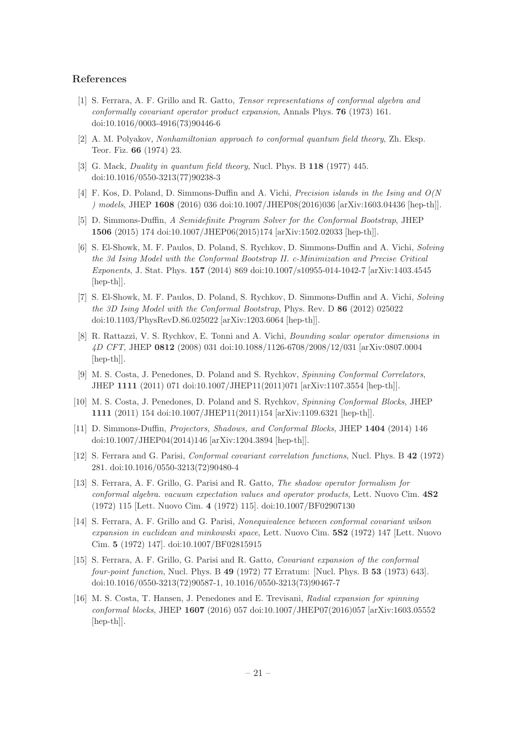# References

- <span id="page-21-0"></span>[1] S. Ferrara, A. F. Grillo and R. Gatto, *Tensor representations of conformal algebra and conformally covariant operator product expansion*, Annals Phys. 76 (1973) 161. doi:10.1016/0003-4916(73)90446-6
- [2] A. M. Polyakov, *Nonhamiltonian approach to conformal quantum field theory*, Zh. Eksp. Teor. Fiz. 66 (1974) 23.
- <span id="page-21-1"></span>[3] G. Mack, *Duality in quantum field theory*, Nucl. Phys. B 118 (1977) 445. doi:10.1016/0550-3213(77)90238-3
- <span id="page-21-2"></span>[4] F. Kos, D. Poland, D. Simmons-Duffin and A. Vichi, *Precision islands in the Ising and O(N ) models*, JHEP 1608 (2016) 036 doi:10.1007/JHEP08(2016)036 [arXiv:1603.04436 [hep-th]].
- [5] D. Simmons-Duffin, *A Semidefinite Program Solver for the Conformal Bootstrap*, JHEP 1506 (2015) 174 doi:10.1007/JHEP06(2015)174 [arXiv:1502.02033 [hep-th]].
- [6] S. El-Showk, M. F. Paulos, D. Poland, S. Rychkov, D. Simmons-Duffin and A. Vichi, *Solving the 3d Ising Model with the Conformal Bootstrap II. c-Minimization and Precise Critical Exponents*, J. Stat. Phys. 157 (2014) 869 doi:10.1007/s10955-014-1042-7 [arXiv:1403.4545 [hep-th]].
- [7] S. El-Showk, M. F. Paulos, D. Poland, S. Rychkov, D. Simmons-Duffin and A. Vichi, *Solving the 3D Ising Model with the Conformal Bootstrap*, Phys. Rev. D 86 (2012) 025022 doi:10.1103/PhysRevD.86.025022 [arXiv:1203.6064 [hep-th]].
- <span id="page-21-3"></span>[8] R. Rattazzi, V. S. Rychkov, E. Tonni and A. Vichi, *Bounding scalar operator dimensions in 4D CFT*, JHEP 0812 (2008) 031 doi:10.1088/1126-6708/2008/12/031 [arXiv:0807.0004 [hep-th]].
- <span id="page-21-4"></span>[9] M. S. Costa, J. Penedones, D. Poland and S. Rychkov, *Spinning Conformal Correlators*, JHEP 1111 (2011) 071 doi:10.1007/JHEP11(2011)071 [arXiv:1107.3554 [hep-th]].
- <span id="page-21-5"></span>[10] M. S. Costa, J. Penedones, D. Poland and S. Rychkov, *Spinning Conformal Blocks*, JHEP 1111 (2011) 154 doi:10.1007/JHEP11(2011)154 [arXiv:1109.6321 [hep-th]].
- <span id="page-21-6"></span>[11] D. Simmons-Duffin, *Projectors, Shadows, and Conformal Blocks*, JHEP 1404 (2014) 146 doi:10.1007/JHEP04(2014)146 [arXiv:1204.3894 [hep-th]].
- <span id="page-21-7"></span>[12] S. Ferrara and G. Parisi, *Conformal covariant correlation functions*, Nucl. Phys. B 42 (1972) 281. doi:10.1016/0550-3213(72)90480-4
- [13] S. Ferrara, A. F. Grillo, G. Parisi and R. Gatto, *The shadow operator formalism for conformal algebra. vacuum expectation values and operator products*, Lett. Nuovo Cim. 4S2 (1972) 115 [Lett. Nuovo Cim. 4 (1972) 115]. doi:10.1007/BF02907130
- [14] S. Ferrara, A. F. Grillo and G. Parisi, *Nonequivalence between conformal covariant wilson expansion in euclidean and minkowski space*, Lett. Nuovo Cim. 5S2 (1972) 147 [Lett. Nuovo Cim. 5 (1972) 147]. doi:10.1007/BF02815915
- <span id="page-21-8"></span>[15] S. Ferrara, A. F. Grillo, G. Parisi and R. Gatto, *Covariant expansion of the conformal four-point function*, Nucl. Phys. B 49 (1972) 77 Erratum: [Nucl. Phys. B 53 (1973) 643]. doi:10.1016/0550-3213(72)90587-1, 10.1016/0550-3213(73)90467-7
- <span id="page-21-9"></span>[16] M. S. Costa, T. Hansen, J. Penedones and E. Trevisani, *Radial expansion for spinning conformal blocks*, JHEP 1607 (2016) 057 doi:10.1007/JHEP07(2016)057 [arXiv:1603.05552 [hep-th]].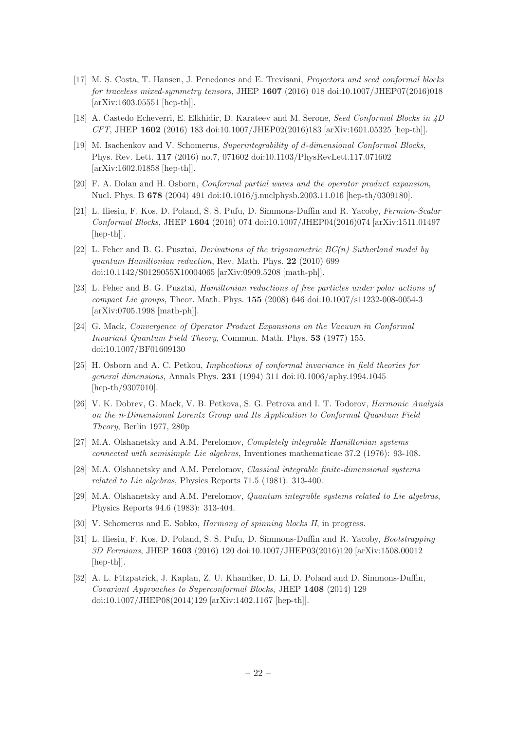- <span id="page-22-1"></span>[17] M. S. Costa, T. Hansen, J. Penedones and E. Trevisani, *Projectors and seed conformal blocks for traceless mixed-symmetry tensors*, JHEP 1607 (2016) 018 doi:10.1007/JHEP07(2016)018 [arXiv:1603.05551 [hep-th]].
- <span id="page-22-2"></span>[18] A. Castedo Echeverri, E. Elkhidir, D. Karateev and M. Serone, *Seed Conformal Blocks in 4D CFT*, JHEP 1602 (2016) 183 doi:10.1007/JHEP02(2016)183 [arXiv:1601.05325 [hep-th]].
- <span id="page-22-3"></span>[19] M. Isachenkov and V. Schomerus, *Superintegrability of* d*-dimensional Conformal Blocks*, Phys. Rev. Lett. 117 (2016) no.7, 071602 doi:10.1103/PhysRevLett.117.071602 [arXiv:1602.01858 [hep-th]].
- <span id="page-22-4"></span>[20] F. A. Dolan and H. Osborn, *Conformal partial waves and the operator product expansion*, Nucl. Phys. B 678 (2004) 491 doi:10.1016/j.nuclphysb.2003.11.016 [hep-th/0309180].
- <span id="page-22-0"></span>[21] L. Iliesiu, F. Kos, D. Poland, S. S. Pufu, D. Simmons-Duffin and R. Yacoby, *Fermion-Scalar Conformal Blocks*, JHEP 1604 (2016) 074 doi:10.1007/JHEP04(2016)074 [arXiv:1511.01497 [hep-th]].
- <span id="page-22-5"></span>[22] L. Feher and B. G. Pusztai, *Derivations of the trigonometric BC(n) Sutherland model by quantum Hamiltonian reduction*, Rev. Math. Phys. 22 (2010) 699 doi:10.1142/S0129055X10004065 [arXiv:0909.5208 [math-ph]].
- <span id="page-22-6"></span>[23] L. Feher and B. G. Pusztai, *Hamiltonian reductions of free particles under polar actions of compact Lie groups*, Theor. Math. Phys. 155 (2008) 646 doi:10.1007/s11232-008-0054-3 [arXiv:0705.1998 [math-ph]].
- <span id="page-22-7"></span>[24] G. Mack, *Convergence of Operator Product Expansions on the Vacuum in Conformal Invariant Quantum Field Theory*, Commun. Math. Phys. 53 (1977) 155. doi:10.1007/BF01609130
- <span id="page-22-8"></span>[25] H. Osborn and A. C. Petkou, *Implications of conformal invariance in field theories for general dimensions*, Annals Phys. 231 (1994) 311 doi:10.1006/aphy.1994.1045 [hep-th/9307010].
- <span id="page-22-9"></span>[26] V. K. Dobrev, G. Mack, V. B. Petkova, S. G. Petrova and I. T. Todorov, *Harmonic Analysis on the n-Dimensional Lorentz Group and Its Application to Conformal Quantum Field Theory*, Berlin 1977, 280p
- <span id="page-22-10"></span>[27] M.A. Olshanetsky and A.M. Perelomov, *Completely integrable Hamiltonian systems connected with semisimple Lie algebras*, Inventiones mathematicae 37.2 (1976): 93-108.
- [28] M.A. Olshanetsky and A.M. Perelomov, *Classical integrable finite-dimensional systems related to Lie algebras*, Physics Reports 71.5 (1981): 313-400.
- <span id="page-22-11"></span>[29] M.A. Olshanetsky and A.M. Perelomov, *Quantum integrable systems related to Lie algebras*, Physics Reports 94.6 (1983): 313-404.
- <span id="page-22-12"></span>[30] V. Schomerus and E. Sobko, *Harmony of spinning blocks II*, in progress.
- <span id="page-22-13"></span>[31] L. Iliesiu, F. Kos, D. Poland, S. S. Pufu, D. Simmons-Duffin and R. Yacoby, *Bootstrapping 3D Fermions*, JHEP 1603 (2016) 120 doi:10.1007/JHEP03(2016)120 [arXiv:1508.00012 [hep-th]].
- <span id="page-22-14"></span>[32] A. L. Fitzpatrick, J. Kaplan, Z. U. Khandker, D. Li, D. Poland and D. Simmons-Duffin, *Covariant Approaches to Superconformal Blocks*, JHEP 1408 (2014) 129 doi:10.1007/JHEP08(2014)129 [arXiv:1402.1167 [hep-th]].